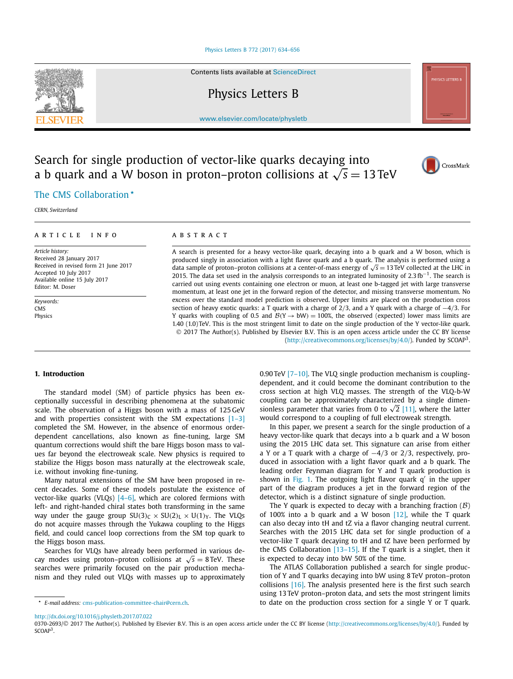#### [Physics Letters B 772 \(2017\) 634–656](http://dx.doi.org/10.1016/j.physletb.2017.07.022)

Contents lists available at [ScienceDirect](http://www.ScienceDirect.com/)

Physics Letters B

[www.elsevier.com/locate/physletb](http://www.elsevier.com/locate/physletb)



# Search for single production of vector-like quarks decaying into a b quark and a W boson in proton–proton collisions at  $\sqrt{s} = 13$  TeV



## .The CMS [Collaboration](#page-6-0) *-*

*CERN, Switzerland*

#### A R T I C L E I N F O A B S T R A C T

*Article history:* Received 28 January 2017 Received in revised form 21 June 2017 Accepted 10 July 2017 Available online 15 July 2017 Editor: M. Doser

*Keywords:* CMS Physics

A search is presented for a heavy vector-like quark, decaying into a b quark and a W boson, which is produced singly in association with a light flavor quark and a b quark. The analysis is performed using a data sample of proton–proton collisions at a center-of-mass energy of  $\sqrt{s}$  = 13 TeV collected at the LHC in 2015. The data set used in the analysis corresponds to an integrated luminosity of 2.3 fb<sup>−1</sup>. The search is carried out using events containing one electron or muon, at least one b-tagged jet with large transverse momentum, at least one jet in the forward region of the detector, and missing transverse momentum. No excess over the standard model prediction is observed. Upper limits are placed on the production cross section of heavy exotic quarks: a T quark with a charge of 2*/*3, and a Y quark with a charge of −4*/*3. For Y quarks with coupling of 0.5 and  $B(Y \rightarrow bW) = 100\%$ , the observed (expected) lower mass limits are 1.40 (1.0) TeV. This is the most stringent limit to date on the single production of the Y vector-like quark. © 2017 The Author(s). Published by Elsevier B.V. This is an open access article under the CC BY license [\(http://creativecommons.org/licenses/by/4.0/\)](http://creativecommons.org/licenses/by/4.0/). Funded by SCOAP3.

#### **1. Introduction**

The standard model (SM) of particle physics has been exceptionally successful in describing phenomena at the subatomic scale. The observation of a Higgs boson with a mass of 125 GeV and with properties consistent with the SM expectations  $[1-3]$ completed the SM. However, in the absence of enormous orderdependent cancellations, also known as fine-tuning, large SM quantum corrections would shift the bare Higgs boson mass to values far beyond the electroweak scale. New physics is required to stabilize the Higgs boson mass naturally at the electroweak scale, i.e. without invoking fine-tuning.

Many natural extensions of the SM have been proposed in recent decades. Some of these models postulate the existence of vector-like quarks (VLQs)  $[4-6]$ , which are colored fermions with left- and right-handed chiral states both transforming in the same way under the gauge group  $SU(3)_C \times SU(2)_L \times U(1)_Y$ . The VLQs do not acquire masses through the Yukawa coupling to the Higgs field, and could cancel loop corrections from the SM top quark to the Higgs boson mass.

Searches for VLQs have already been performed in various decay modes using proton–proton collisions at  $\sqrt{s} = 8$  TeV. These searches were primarily focused on the pair production mechanism and they ruled out VLQs with masses up to approximately 0.90 TeV [\[7–10\].](#page-5-0) The VLQ single production mechanism is couplingdependent, and it could become the dominant contribution to the cross section at high VLQ masses. The strength of the VLQ-b-W coupling can be approximately characterized by a single dimensionless parameter that varies from 0 to  $\sqrt{2}$  [\[11\],](#page-5-0) where the latter would correspond to a coupling of full electroweak strength.

In this paper, we present a search for the single production of a heavy vector-like quark that decays into a b quark and a W boson using the 2015 LHC data set. This signature can arise from either a Y or a T quark with a charge of −4*/*3 or 2*/*3, respectively, produced in association with a light flavor quark and a b quark. The leading order Feynman diagram for Y and T quark production is shown in [Fig. 1.](#page-1-0) The outgoing light flavor quark  $q'$  in the upper part of the diagram produces a jet in the forward region of the detector, which is a distinct signature of single production.

The Y quark is expected to decay with a branching fraction  $(B)$ of 100% into a b quark and a W boson  $[12]$ , while the T quark can also decay into tH and tZ via a flavor changing neutral current. Searches with the 2015 LHC data set for single production of a vector-like T quark decaying to tH and tZ have been performed by the CMS Collaboration  $[13-15]$ . If the T quark is a singlet, then it is expected to decay into bW 50% of the time.

The ATLAS Collaboration published a search for single production of Y and T quarks decaying into bW using 8 TeV proton–proton collisions [\[16\].](#page-6-0) The analysis presented here is the first such search using 13 TeV proton–proton data, and sets the most stringent limits to date on the production cross section for a single Y or T quark.

*<sup>-</sup> E-mail address:* [cms-publication-committee-chair@cern.ch](mailto:cms-publication-committee-chair@cern.ch).

<http://dx.doi.org/10.1016/j.physletb.2017.07.022>

<sup>0370-2693/© 2017</sup> The Author(s). Published by Elsevier B.V. This is an open access article under the CC BY license [\(http://creativecommons.org/licenses/by/4.0/](http://creativecommons.org/licenses/by/4.0/)). Funded by SCOAP<sup>3</sup>.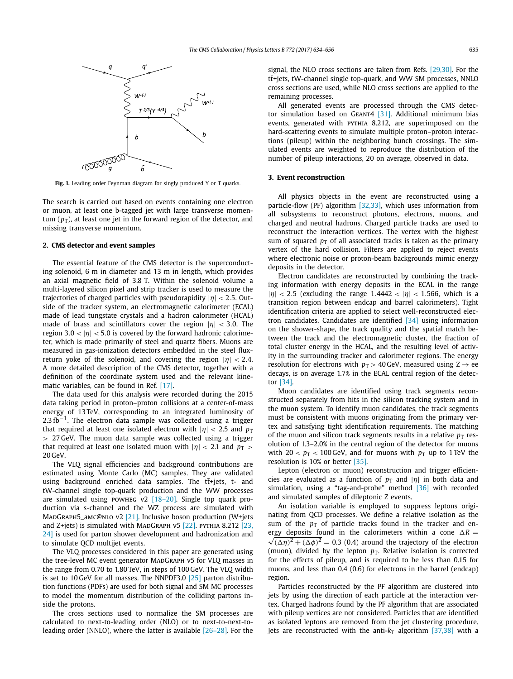<span id="page-1-0"></span>

Fig. 1. Leading order Feynman diagram for singly produced Y or T quarks.

The search is carried out based on events containing one electron or muon, at least one b-tagged jet with large transverse momentum  $(p_T)$ , at least one jet in the forward region of the detector, and missing transverse momentum.

#### **2. CMS detector and event samples**

The essential feature of the CMS detector is the superconducting solenoid, 6 m in diameter and 13 m in length, which provides an axial magnetic field of 3.8 T. Within the solenoid volume a multi-layered silicon pixel and strip tracker is used to measure the trajectories of charged particles with pseudorapidity |*η*| *<* <sup>2</sup>*.*5. Outside of the tracker system, an electromagnetic calorimeter (ECAL) made of lead tungstate crystals and a hadron calorimeter (HCAL) made of brass and scintillators cover the region |*η*| *<* <sup>3</sup>*.*0. The region  $3.0 < |n| < 5.0$  is covered by the forward hadronic calorimeter, which is made primarily of steel and quartz fibers. Muons are measured in gas-ionization detectors embedded in the steel fluxreturn yoke of the solenoid, and covering the region  $|\eta| < 2.4$ . A more detailed description of the CMS detector, together with a definition of the coordinate system used and the relevant kinematic variables, can be found in Ref. [\[17\].](#page-6-0)

The data used for this analysis were recorded during the 2015 data taking period in proton–proton collisions at a center-of-mass energy of 13 TeV, corresponding to an integrated luminosity of 2.3 fb<sup>-1</sup>. The electron data sample was collected using a trigger that required at least one isolated electron with  $|\eta|$  < 2.5 and  $p_T$ *>* 27 GeV. The muon data sample was collected using a trigger that required at least one isolated muon with  $|\eta|$  < 2.1 and  $p_T$  > 20 GeV.

The VLQ signal efficiencies and background contributions are estimated using Monte Carlo (MC) samples. They are validated using background enriched data samples. The tt+jets, t- and tW-channel single top-quark production and the WW processes are simulated using powheg v2 [\[18–20\].](#page-6-0) Single top quark production via s-channel and the WZ process are simulated with MADGRAPH5\_aMC@NLO v2 [\[21\].](#page-6-0) Inclusive boson production (W+jets and Z+jets) is simulated with MADGRAPH v5  $[22]$ . PYTHIA 8.212  $[23]$ , [24\]](#page-6-0) is used for parton shower development and hadronization and to simulate QCD multijet events.

The VLQ processes considered in this paper are generated using the tree-level MC event generator MADGRAPH v5 for VLQ masses in the range from 0.70 to 1.80 TeV, in steps of 100 GeV. The VLQ width is set to 10 GeV for all masses. The NNPDF3.0 [\[25\]](#page-6-0) parton distribution functions (PDFs) are used for both signal and SM MC processes to model the momentum distribution of the colliding partons inside the protons.

The cross sections used to normalize the SM processes are calculated to next-to-leading order (NLO) or to next-to-next-toleading order (NNLO), where the latter is available [\[26–28\].](#page-6-0) For the signal, the NLO cross sections are taken from Refs. [\[29,30\].](#page-6-0) For the tt+jets, tW-channel single top-quark, and WW SM processes, NNLO cross sections are used, while NLO cross sections are applied to the remaining processes.

All generated events are processed through the CMS detec-tor simulation based on GEANT4 [\[31\].](#page-6-0) Additional minimum bias events, generated with PYTHIA 8.212, are superimposed on the hard-scattering events to simulate multiple proton–proton interactions (pileup) within the neighboring bunch crossings. The simulated events are weighted to reproduce the distribution of the number of pileup interactions, 20 on average, observed in data.

#### **3. Event reconstruction**

All physics objects in the event are reconstructed using a particle-flow (PF) algorithm [\[32,33\],](#page-6-0) which uses information from all subsystems to reconstruct photons, electrons, muons, and charged and neutral hadrons. Charged particle tracks are used to reconstruct the interaction vertices. The vertex with the highest sum of squared  $p<sub>T</sub>$  of all associated tracks is taken as the primary vertex of the hard collision. Filters are applied to reject events where electronic noise or proton-beam backgrounds mimic energy deposits in the detector.

Electron candidates are reconstructed by combining the tracking information with energy deposits in the ECAL in the range |*η*| *<* <sup>2</sup>*.*5 (excluding the range <sup>1</sup>*.*<sup>4442</sup> *<* |*η*| *<* <sup>1</sup>*.*566, which is <sup>a</sup> transition region between endcap and barrel calorimeters). Tight identification criteria are applied to select well-reconstructed electron candidates. Candidates are identified [\[34\]](#page-6-0) using information on the shower-shape, the track quality and the spatial match between the track and the electromagnetic cluster, the fraction of total cluster energy in the HCAL, and the resulting level of activity in the surrounding tracker and calorimeter regions. The energy resolution for electrons with  $p_T > 40$  GeV, measured using  $Z \rightarrow ee$ decays, is on average 1.7% in the ECAL central region of the detector [\[34\].](#page-6-0)

Muon candidates are identified using track segments reconstructed separately from hits in the silicon tracking system and in the muon system. To identify muon candidates, the track segments must be consistent with muons originating from the primary vertex and satisfying tight identification requirements. The matching of the muon and silicon track segments results in a relative  $p<sub>T</sub>$  resolution of 1.3–2.0% in the central region of the detector for muons with  $20 < p_T < 100$  GeV, and for muons with  $p_T$  up to 1 TeV the resolution is 10% or better [\[35\].](#page-6-0)

Lepton (electron or muon) reconstruction and trigger efficiencies are evaluated as a function of  $p<sub>T</sub>$  and  $|\eta|$  in both data and simulation, using a "tag-and-probe" method  $[36]$  with recorded and simulated samples of dileptonic Z events.

An isolation variable is employed to suppress leptons originating from QCD processes. We define a relative isolation as the sum of the  $p<sub>T</sub>$  of particle tracks found in the tracker and en- $\sqrt{(\Delta \eta)^2 + (\Delta \phi)^2} = 0.3$  (0.4) around the trajectory of the electron ergy deposits found in the calorimeters within a cone  $\Delta R =$ (muon), divided by the lepton  $p<sub>T</sub>$ . Relative isolation is corrected for the effects of pileup, and is required to be less than 0.15 for muons, and less than 0.4 (0.6) for electrons in the barrel (endcap) region.

Particles reconstructed by the PF algorithm are clustered into jets by using the direction of each particle at the interaction vertex. Charged hadrons found by the PF algorithm that are associated with pileup vertices are not considered. Particles that are identified as isolated leptons are removed from the jet clustering procedure. Jets are reconstructed with the anti- $k<sub>T</sub>$  algorithm [\[37,38\]](#page-6-0) with a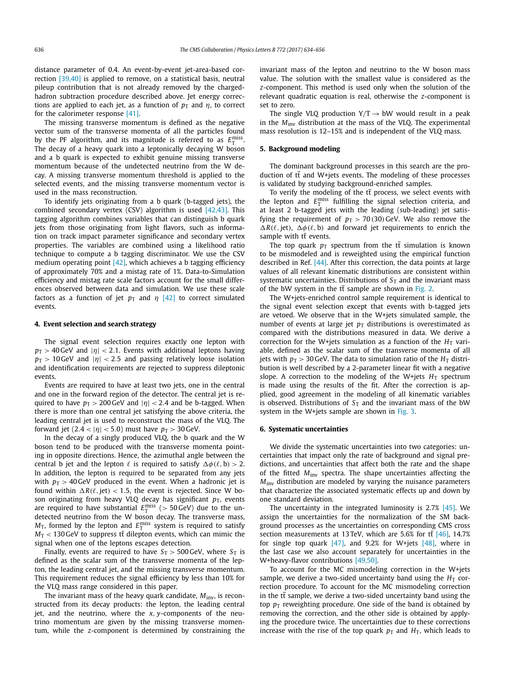distance parameter of 0.4. An event-by-event jet-area-based correction [\[39,40\]](#page-6-0) is applied to remove, on a statistical basis, neutral pileup contribution that is not already removed by the chargedhadron subtraction procedure described above. Jet energy corrections are applied to each jet, as a function of  $p<sub>T</sub>$  and  $\eta$ , to correct for the calorimeter response [\[41\].](#page-6-0)

The missing transverse momentum is defined as the negative vector sum of the transverse momenta of all the particles found by the PF algorithm, and its magnitude is referred to as  $E_{\text{T}}^{\text{miss}}$ . The decay of a heavy quark into a leptonically decaying W boson and a b quark is expected to exhibit genuine missing transverse momentum because of the undetected neutrino from the W decay. A missing transverse momentum threshold is applied to the selected events, and the missing transverse momentum vector is used in the mass reconstruction.

To identify jets originating from a b quark (b-tagged jets), the combined secondary vertex (CSV) algorithm is used [\[42,43\].](#page-6-0) This tagging algorithm combines variables that can distinguish b quark jets from those originating from light flavors, such as information on track impact parameter significance and secondary vertex properties. The variables are combined using a likelihood ratio technique to compute a b tagging discriminator. We use the CSV medium operating point  $[42]$ , which achieves a b tagging efficiency of approximately 70% and a mistag rate of 1%. Data-to-Simulation efficiency and mistag rate scale factors account for the small differences observed between data and simulation. We use these scale factors as a function of jet  $p_T$  and  $\eta$  [\[42\]](#page-6-0) to correct simulated events.

#### **4. Event selection and search strategy**

The signal event selection requires exactly one lepton with  $p_T > 40$  GeV and  $|\eta| < 2.1$ . Events with additional leptons having  $p_T > 10$  GeV and  $|\eta| < 2.5$  and passing relatively loose isolation and identification requirements are rejected to suppress dileptonic events.

Events are required to have at least two jets, one in the central and one in the forward region of the detector. The central jet is required to have  $p_T > 200$  GeV and  $|\eta| < 2.4$  and be b-tagged. When there is more than one central jet satisfying the above criteria, the leading central jet is used to reconstruct the mass of the VLQ. The forward jet  $(2.4 < |\eta| < 5.0)$  must have  $p_T > 30$  GeV.

In the decay of a singly produced VLQ, the b quark and the W boson tend to be produced with the transverse momenta pointing in opposite directions. Hence, the azimuthal angle between the central b jet and the lepton  $\ell$  is required to satisfy  $\Delta \phi(\ell, b) > 2$ . In addition, the lepton is required to be separated from any jets with  $p_T > 40$  GeV produced in the event. When a hadronic jet is found within  $\Delta R(\ell, jet)$  < 1.5, the event is rejected. Since W boson originating from heavy VLQ decay has significant  $p_{\rm T}$ , events are required to have substantial  $E_{\rm T}^{\rm miss}$  ( $>$  50 GeV) due to the undetected neutrino from the W boson decay. The transverse mass,  $M_T$ , formed by the lepton and  $E_T^{\text{miss}}$  system is required to satisfy  $M_T < 130$  GeV to suppress tt dilepton events, which can mimic the signal when one of the leptons escapes detection.

Finally, events are required to have  $S_T > 500$  GeV, where  $S_T$  is defined as the scalar sum of the transverse momenta of the lepton, the leading central jet, and the missing transverse momentum. This requirement reduces the signal efficiency by less than 10% for the VLQ mass range considered in this paper.

The invariant mass of the heavy quark candidate, *M*inv, is reconstructed from its decay products: the lepton, the leading central jet, and the neutrino, where the *x, y*-components of the neutrino momentum are given by the missing transverse momentum, while the *z*-component is determined by constraining the invariant mass of the lepton and neutrino to the W boson mass value. The solution with the smallest value is considered as the *z*-component. This method is used only when the solution of the relevant quadratic equation is real, otherwise the *z*-component is set to zero.

The single VLQ production  $Y/T \rightarrow bW$  would result in a peak in the *M*inv distribution at the mass of the VLQ. The experimental mass resolution is 12–15% and is independent of the VLQ mass.

#### **5. Background modeling**

The dominant background processes in this search are the production of  $t\bar{t}$  and W+jets events. The modeling of these processes is validated by studying background-enriched samples.

To verify the modeling of the tt process, we select events with the lepton and  $E_T^{\text{miss}}$  fulfilling the signal selection criteria, and at least 2 b-tagged jets with the leading (sub-leading) jet satisfying the requirement of  $p_T > 70(30)$  GeV. We also remove the  $\Delta R(\ell,$  jet),  $\Delta \phi(\ell, b)$  and forward jet requirements to enrich the sample with tt events.

The top quark  $p_T$  spectrum from the tt simulation is known to be mismodeled and is reweighted using the empirical function described in Ref.  $[44]$ . After this correction, the data points at large values of all relevant kinematic distributions are consistent within systematic uncertainties. Distributions of  $S_T$  and the invariant mass of the bW system in the  $t\bar{t}$  sample are shown in [Fig. 2.](#page-3-0)

The W+jets-enriched control sample requirement is identical to the signal event selection except that events with b-tagged jets are vetoed. We observe that in the W+jets simulated sample, the number of events at large jet  $p<sub>T</sub>$  distributions is overestimated as compared with the distributions measured in data. We derive a correction for the W+jets simulation as a function of the  $H<sub>T</sub>$  variable, defined as the scalar sum of the transverse momenta of all jets with  $p_T > 30$  GeV. The data to simulation ratio of the  $H_T$  distribution is well described by a 2-parameter linear fit with a negative slope. A correction to the modeling of the W+jets  $H<sub>T</sub>$  spectrum is made using the results of the fit. After the correction is applied, good agreement in the modeling of all kinematic variables is observed. Distributions of  $S_T$  and the invariant mass of the bW system in the W+jets sample are shown in [Fig. 3.](#page-3-0)

#### **6. Systematic uncertainties**

We divide the systematic uncertainties into two categories: uncertainties that impact only the rate of background and signal predictions, and uncertainties that affect both the rate and the shape of the fitted *M*inv spectra. The shape uncertainties affecting the *M*inv distribution are modeled by varying the nuisance parameters that characterize the associated systematic effects up and down by one standard deviation.

The uncertainty in the integrated luminosity is 2.7% [\[45\].](#page-6-0) We assign the uncertainties for the normalization of the SM background processes as the uncertainties on corresponding CMS cross section measurements at 13 TeV, which are 5.6% for tt [\[46\],](#page-6-0) 14.7% for single top quark  $[47]$ , and 9.2% for W+jets  $[48]$ , where in the last case we also account separately for uncertainties in the W+heavy-flavor contributions [\[49,50\].](#page-6-0)

To account for the MC mismodeling correction in the W+jets sample, we derive a two-sided uncertainty band using the  $H<sub>T</sub>$  correction procedure. To account for the MC mismodeling correction in the tt sample, we derive a two-sided uncertainty band using the top  $p_T$  reweighting procedure. One side of the band is obtained by removing the correction, and the other side is obtained by applying the procedure twice. The uncertainties due to these corrections increase with the rise of the top quark  $p<sub>T</sub>$  and  $H<sub>T</sub>$ , which leads to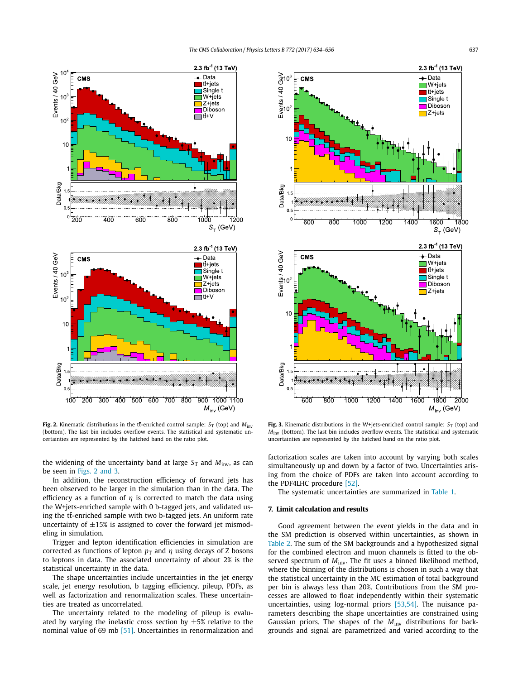<span id="page-3-0"></span>

**Fig. 2.** Kinematic distributions in the tt-enriched control sample:  $S_T$  (top) and  $M_{inv}$ (bottom). The last bin includes overflow events. The statistical and systematic uncertainties are represented by the hatched band on the ratio plot.

the widening of the uncertainty band at large  $S_T$  and  $M_{\text{inv}}$ , as can be seen in Figs. 2 and 3.

In addition, the reconstruction efficiency of forward jets has been observed to be larger in the simulation than in the data. The efficiency as a function of *η* is corrected to match the data using the W+jets-enriched sample with 0 b-tagged jets, and validated using the tt-enriched sample with two b-tagged jets. An uniform rate uncertainty of  $\pm 15\%$  is assigned to cover the forward jet mismodeling in simulation.

Trigger and lepton identification efficiencies in simulation are corrected as functions of lepton  $p<sub>T</sub>$  and  $\eta$  using decays of Z bosons to leptons in data. The associated uncertainty of about 2% is the statistical uncertainty in the data.

The shape uncertainties include uncertainties in the jet energy scale, jet energy resolution, b tagging efficiency, pileup, PDFs, as well as factorization and renormalization scales. These uncertainties are treated as uncorrelated.

The uncertainty related to the modeling of pileup is evaluated by varying the inelastic cross section by  $\pm 5$ % relative to the nominal value of 69 mb [\[51\].](#page-6-0) Uncertainties in renormalization and



Fig. 3. Kinematic distributions in the W+jets-enriched control sample:  $S_T$  (top) and  $M_{\text{inv}}$  (bottom). The last bin includes overflow events. The statistical and systematic uncertainties are represented by the hatched band on the ratio plot.

factorization scales are taken into account by varying both scales simultaneously up and down by a factor of two. Uncertainties arising from the choice of PDFs are taken into account according to the PDF4LHC procedure [\[52\].](#page-6-0)

The systematic uncertainties are summarized in [Table 1.](#page-4-0)

#### **7. Limit calculation and results**

Good agreement between the event yields in the data and in the SM prediction is observed within uncertainties, as shown in [Table 2.](#page-4-0) The sum of the SM backgrounds and a hypothesized signal for the combined electron and muon channels is fitted to the observed spectrum of  $M_{\text{inv}}$ . The fit uses a binned likelihood method, where the binning of the distributions is chosen in such a way that the statistical uncertainty in the MC estimation of total background per bin is always less than 20%. Contributions from the SM processes are allowed to float independently within their systematic uncertainties, using log-normal priors [\[53,54\].](#page-6-0) The nuisance parameters describing the shape uncertainties are constrained using Gaussian priors. The shapes of the *M*inv distributions for backgrounds and signal are parametrized and varied according to the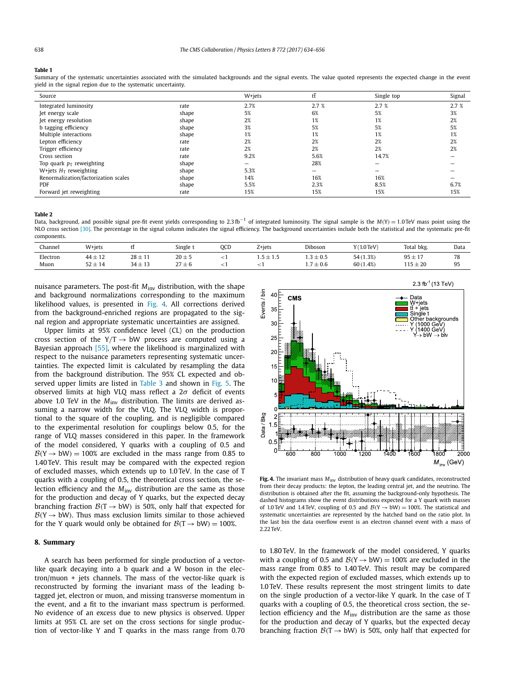#### <span id="page-4-0"></span>**Table 1**

Summary of the systematic uncertainties associated with the simulated backgrounds and the signal events. The value quoted represents the expected change in the event yield in the signal region due to the systematic uncertainty.

| Source                               |       | W+jets | tť   | Single top | Signal |
|--------------------------------------|-------|--------|------|------------|--------|
| Integrated luminosity                | rate  | 2.7%   | 2.7% | 2.7%       | 2.7%   |
| Jet energy scale                     | shape | 5%     | 6%   | 5%         | 3%     |
| Jet energy resolution                | shape | 2%     | 1%   | 1%         | 2%     |
| b tagging efficiency                 | shape | 3%     | 5%   | 5%         | 5%     |
| Multiple interactions                | shape | 1%     | 1%   | 1%         | 1%     |
| Lepton efficiency                    | rate  | 2%     | 2%   | 2%         | 2%     |
| Trigger efficiency                   | rate  | 2%     | 2%   | 2%         | 2%     |
| Cross section                        | rate  | 9.2%   | 5.6% | 14.7%      |        |
| Top quark $p_T$ reweighting          | shape | -      | 28%  |            |        |
| W+jets $H_T$ reweighting             | shape | 5.3%   | -    |            |        |
| Renormalization/factorization scales | shape | 14%    | 16%  | 16%        |        |
| <b>PDF</b>                           | shape | 5.5%   | 2.3% | 8.5%       | 6.7%   |
| Forward jet reweighting              | rate  | 15%    | 15%  | 15%        | 15%    |

#### **Table 2**

Data, background, and possible signal pre-fit event yields corresponding to 2.3 fb−<sup>1</sup> of integrated luminosity. The signal sample is the *<sup>M</sup>(*Y*)* <sup>=</sup> <sup>1</sup>*.*<sup>0</sup> TeV mass point using the NLO cross section [\[30\].](#page-6-0) The percentage in the signal column indicates the signal efficiency. The background uncertainties include both the statistical and the systematic pre-fit components.

| `hannel  | W+jets                                                    |                  | $-1$<br>Single                                      | OCE | Z+iets     | Diboson                      | Y(1.0 TeV) | Total bkg.                   | Data                 |
|----------|-----------------------------------------------------------|------------------|-----------------------------------------------------|-----|------------|------------------------------|------------|------------------------------|----------------------|
| Electron | $44 \pm 12$                                               | $28 \pm 11$      | $20 \pm 5$                                          |     | ں دیا ہے ت | $\pm 0.5$<br>$\sqrt{2}$<br>. | 54(1.3%)   | Q5<br>-4.5<br>ັບ             | 70<br>, σ            |
| Muon     | rn.<br>$\overline{1}$<br>$\overline{\phantom{0}}$<br>- 14 | $34 +$<br>$\sim$ | $\sim$<br>土セ<br>the contract of the contract of the |     |            | $\overline{ }$<br>$\pm 0.6$  | 60 (1.4%)  | $115 +$<br>$\Omega$<br>⊤± 20 | Q <sub>5</sub><br>ັບ |

nuisance parameters. The post-fit *M*<sub>inv</sub> distribution, with the shape and background normalizations corresponding to the maximum likelihood values, is presented in Fig. 4. All corrections derived from the background-enriched regions are propagated to the signal region and appropriate systematic uncertainties are assigned.

Upper limits at 95% confidence level (CL) on the production cross section of the  $Y/T \rightarrow bW$  process are computed using a Bayesian approach [\[55\],](#page-6-0) where the likelihood is marginalized with respect to the nuisance parameters representing systematic uncertainties. The expected limit is calculated by resampling the data from the background distribution. The 95% CL expected and observed upper limits are listed in [Table 3](#page-5-0) and shown in [Fig. 5.](#page-5-0) The observed limits at high VLQ mass reflect a 2*σ* deficit of events above 1.0 TeV in the  $M_{\text{inv}}$  distribution. The limits are derived assuming a narrow width for the VLQ. The VLQ width is proportional to the square of the coupling, and is negligible compared to the experimental resolution for couplings below 0.5, for the range of VLQ masses considered in this paper. In the framework of the model considered, Y quarks with a coupling of 0.5 and  $B(Y \rightarrow bW) = 100\%$  are excluded in the mass range from 0.85 to 1.40 TeV. This result may be compared with the expected region of excluded masses, which extends up to 1.0 TeV. In the case of T quarks with a coupling of 0.5, the theoretical cross section, the selection efficiency and the  $M_{\text{inv}}$  distribution are the same as those for the production and decay of Y quarks, but the expected decay branching fraction  $B(T \rightarrow bW)$  is 50%, only half that expected for  $B(Y \rightarrow bW)$ . Thus mass exclusion limits similar to those achieved for the Y quark would only be obtained for  $B(T \rightarrow bW) = 100\%$ .

#### **8. Summary**

A search has been performed for single production of a vectorlike quark decaying into a b quark and a W boson in the electron/muon + jets channels. The mass of the vector-like quark is reconstructed by forming the invariant mass of the leading btagged jet, electron or muon, and missing transverse momentum in the event, and a fit to the invariant mass spectrum is performed. No evidence of an excess due to new physics is observed. Upper limits at 95% CL are set on the cross sections for single production of vector-like Y and T quarks in the mass range from 0.70



**Fig. 4.** The invariant mass *M*inv distribution of heavy quark candidates, reconstructed from their decay products: the lepton, the leading central jet, and the neutrino. The distribution is obtained after the fit, assuming the background-only hypothesis. The dashed histograms show the event distributions expected for a Y quark with masses of 1.0 TeV and 1.4 TeV, coupling of 0.5 and  $\mathcal{B}(Y \rightarrow bW) = 100\%$ . The statistical and systematic uncertainties are represented by the hatched band on the ratio plot. In the last bin the data overflow event is an electron channel event with a mass of 2.22 TeV.

to 1.80 TeV. In the framework of the model considered, Y quarks with a coupling of 0.5 and  $\mathcal{B}(Y \rightarrow bW) = 100\%$  are excluded in the mass range from 0.85 to 1.40 TeV. This result may be compared with the expected region of excluded masses, which extends up to 1.0 TeV. These results represent the most stringent limits to date on the single production of a vector-like Y quark. In the case of T quarks with a coupling of 0.5, the theoretical cross section, the selection efficiency and the  $M_{\text{inv}}$  distribution are the same as those for the production and decay of Y quarks, but the expected decay branching fraction  $B(T \rightarrow bW)$  is 50%, only half that expected for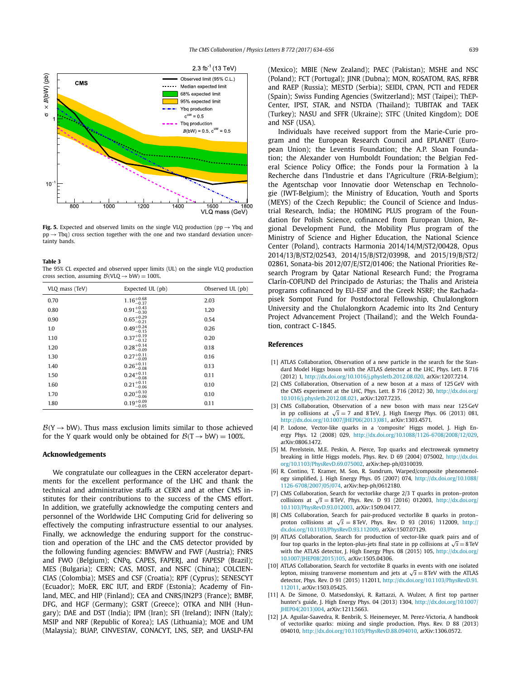<span id="page-5-0"></span>

**Fig. 5.** Expected and observed limits on the single VLQ production ( $pp \rightarrow Ybq$  and  $pp \rightarrow$  Tbq) cross section together with the one and two standard deviation uncertainty bands.

#### **Table 3**

The 95% CL expected and observed upper limits (UL) on the single VLQ production cross section, assuming  $\mathcal{B}(VLQ \rightarrow bW) = 100\%$ .

| VLO mass (TeV) | Expected UL (pb)       | Observed UL (pb) |
|----------------|------------------------|------------------|
| 0.70           | $1.16_{-0.37}^{+0.68}$ | 2.03             |
| 0.80           | $0.91^{+0.43}_{-0.30}$ | 1.20             |
| 0.90           | $0.65^{+0.29}_{-0.21}$ | 0.54             |
| 1.0            | $0.49^{+0.24}_{-0.15}$ | 0.26             |
| 1.10           | $0.37^{+0.19}_{-0.12}$ | 0.20             |
| 1.20           | $0.28^{+0.14}_{-0.09}$ | 0.18             |
| 1.30           | $0.27^{+0.11}_{-0.09}$ | 0.16             |
| 1.40           | $0.26_{-0.08}^{+0.11}$ | 0.13             |
| 1.50           | $0.24^{+0.11}_{-0.08}$ | 0.11             |
| 1.60           | $0.21^{+0.11}_{-0.06}$ | 0.10             |
| 1.70           | $0.20^{+0.10}_{-0.06}$ | 0.10             |
| 1.80           | $0.19^{+0.09}_{-0.05}$ | 0.11             |

 $B(Y \rightarrow bW)$ . Thus mass exclusion limits similar to those achieved for the Y quark would only be obtained for  $B(T \rightarrow bW) = 100\%$ .

#### **Acknowledgements**

We congratulate our colleagues in the CERN accelerator departments for the excellent performance of the LHC and thank the technical and administrative staffs at CERN and at other CMS institutes for their contributions to the success of the CMS effort. In addition, we gratefully acknowledge the computing centers and personnel of the Worldwide LHC Computing Grid for delivering so effectively the computing infrastructure essential to our analyses. Finally, we acknowledge the enduring support for the construction and operation of the LHC and the CMS detector provided by the following funding agencies: BMWFW and FWF (Austria); FNRS and FWO (Belgium); CNPq, CAPES, FAPERJ, and FAPESP (Brazil); MES (Bulgaria); CERN; CAS, MOST, and NSFC (China); COLCIEN-CIAS (Colombia); MSES and CSF (Croatia); RPF (Cyprus); SENESCYT (Ecuador); MoER, ERC IUT, and ERDF (Estonia); Academy of Finland, MEC, and HIP (Finland); CEA and CNRS/IN2P3 (France); BMBF, DFG, and HGF (Germany); GSRT (Greece); OTKA and NIH (Hungary); DAE and DST (India); IPM (Iran); SFI (Ireland); INFN (Italy); MSIP and NRF (Republic of Korea); LAS (Lithuania); MOE and UM (Malaysia); BUAP, CINVESTAV, CONACYT, LNS, SEP, and UASLP-FAI (Mexico); MBIE (New Zealand); PAEC (Pakistan); MSHE and NSC (Poland); FCT (Portugal); JINR (Dubna); MON, ROSATOM, RAS, RFBR and RAEP (Russia); MESTD (Serbia); SEIDI, CPAN, PCTI and FEDER (Spain); Swiss Funding Agencies (Switzerland); MST (Taipei); ThEP-Center, IPST, STAR, and NSTDA (Thailand); TUBITAK and TAEK (Turkey); NASU and SFFR (Ukraine); STFC (United Kingdom); DOE and NSF (USA).

Individuals have received support from the Marie-Curie program and the European Research Council and EPLANET (European Union); the Leventis Foundation; the A.P. Sloan Foundation; the Alexander von Humboldt Foundation; the Belgian Federal Science Policy Office; the Fonds pour la Formation à la Recherche dans l'Industrie et dans l'Agriculture (FRIA-Belgium); the Agentschap voor Innovatie door Wetenschap en Technologie (IWT-Belgium); the Ministry of Education, Youth and Sports (MEYS) of the Czech Republic; the Council of Science and Industrial Research, India; the HOMING PLUS program of the Foundation for Polish Science, cofinanced from European Union, Regional Development Fund, the Mobility Plus program of the Ministry of Science and Higher Education, the National Science Center (Poland), contracts Harmonia 2014/14/M/ST2/00428, Opus 2014/13/B/ST2/02543, 2014/15/B/ST2/03998, and 2015/19/B/ST2/ 02861, Sonata-bis 2012/07/E/ST2/01406; the National Priorities Research Program by Qatar National Research Fund; the Programa Clarín-COFUND del Principado de Asturias; the Thalis and Aristeia programs cofinanced by EU-ESF and the Greek NSRF; the Rachadapisek Sompot Fund for Postdoctoral Fellowship, Chulalongkorn University and the Chulalongkorn Academic into Its 2nd Century Project Advancement Project (Thailand); and the Welch Foundation, contract C-1845.

#### **References**

- [1] ATLAS Collaboration, Observation of a new particle in the search for the Standard Model Higgs boson with the ATLAS detector at the LHC, Phys. Lett. B 716 (2012) 1, [http://dx.doi.org/10.1016/j.physletb.2012.08.020,](http://dx.doi.org/10.1016/j.physletb.2012.08.020) arXiv:1207.7214.
- [2] CMS Collaboration, Observation of a new boson at a mass of 125 GeV with the CMS experiment at the LHC, Phys. Lett. B 716 (2012) 30, [http://dx.doi.org/](http://dx.doi.org/10.1016/j.physletb.2012.08.021) [10.1016/j.physletb.2012.08.021,](http://dx.doi.org/10.1016/j.physletb.2012.08.021) arXiv:1207.7235.
- [3] CMS Collaboration, Observation of a new boson with mass near 125 GeV in pp collisions at  $\sqrt{s} = 7$  and 8 TeV, J. High Energy Phys. 06 (2013) 081, [http://dx.doi.org/10.1007/JHEP06\(2013\)081,](http://dx.doi.org/10.1007/JHEP06(2013)081) arXiv:1303.4571.
- [4] P. Lodone, Vector-like quarks in a 'composite' Higgs model, J. High Energy Phys. 12 (2008) 029, [http://dx.doi.org/10.1088/1126-6708/2008/12/029,](http://dx.doi.org/10.1088/1126-6708/2008/12/029) arXiv:0806.1472.
- [5] M. Perelstein, M.E. Peskin, A. Pierce, Top quarks and electroweak symmetry breaking in little Higgs models, Phys. Rev. D 69 (2004) 075002, [http://dx.doi.](http://dx.doi.org/10.1103/PhysRevD.69.075002) [org/10.1103/PhysRevD.69.075002](http://dx.doi.org/10.1103/PhysRevD.69.075002), arXiv:hep-ph/0310039.
- [6] R. Contino, T. Kramer, M. Son, R. Sundrum, Warped/composite phenomenology simplified, J. High Energy Phys. 05 (2007) 074, [http://dx.doi.org/10.1088/](http://dx.doi.org/10.1088/1126-6708/2007/05/074) [1126-6708/2007/05/074](http://dx.doi.org/10.1088/1126-6708/2007/05/074), arXiv:hep-ph/0612180.
- [7] CMS Collaboration, Search for vectorlike charge 2/3 T quarks in proton–proton collisions at  $\sqrt{s} = 8$  TeV, Phys. Rev. D 93 (2016) 012003, [http://dx.doi.org/](http://dx.doi.org/10.1103/PhysRevD.93.012003) [10.1103/PhysRevD.93.012003,](http://dx.doi.org/10.1103/PhysRevD.93.012003) arXiv:1509.04177.
- [8] CMS Collaboration, Search for pair-produced vectorlike B quarks in proton– proton collisions at  $\sqrt{s} = 8$  TeV, Phys. Rev. D 93 (2016) 112009, [http://](http://dx.doi.org/10.1103/PhysRevD.93.112009) [dx.doi.org/10.1103/PhysRevD.93.112009,](http://dx.doi.org/10.1103/PhysRevD.93.112009) arXiv:1507.07129.
- [9] ATLAS Collaboration, Search for production of vector-like quark pairs and of four top quarks in the lepton-plus-jets final state in pp collisions at  $\sqrt{s} = 8 \text{ TeV}$ with the ATLAS detector, J. High Energy Phys. 08 (2015) 105, [http://dx.doi.org/](http://dx.doi.org/10.1007/JHEP08(2015)105) [10.1007/JHEP08\(2015\)105](http://dx.doi.org/10.1007/JHEP08(2015)105), arXiv:1505.04306.
- [10] ATLAS Collaboration, Search for vectorlike B quarks in events with one isolated lepton, missing transverse momentum and jets at  $\sqrt{s} = 8$  TeV with the ATLAS detector, Phys. Rev. D 91 (2015) 112011, [http://dx.doi.org/10.1103/PhysRevD.91.](http://dx.doi.org/10.1103/PhysRevD.91.112011) [112011,](http://dx.doi.org/10.1103/PhysRevD.91.112011) arXiv:1503.05425.
- [11] A. De Simone, O. Matsedonskyi, R. Rattazzi, A. Wulzer, A first top partner hunter's guide, J. High Energy Phys. 04 (2013) 1304, [http://dx.doi.org/10.1007/](http://dx.doi.org/10.1007/JHEP04(2013)004) [JHEP04\(2013\)004](http://dx.doi.org/10.1007/JHEP04(2013)004), arXiv:1211.5663.
- [12] J.A. Aguilar-Saavedra, R. Benbrik, S. Heinemeyer, M. Perez-Victoria, A handbook of vectorlike quarks: mixing and single production, Phys. Rev. D 88 (2013) 094010, <http://dx.doi.org/10.1103/PhysRevD.88.094010>, arXiv:1306.0572.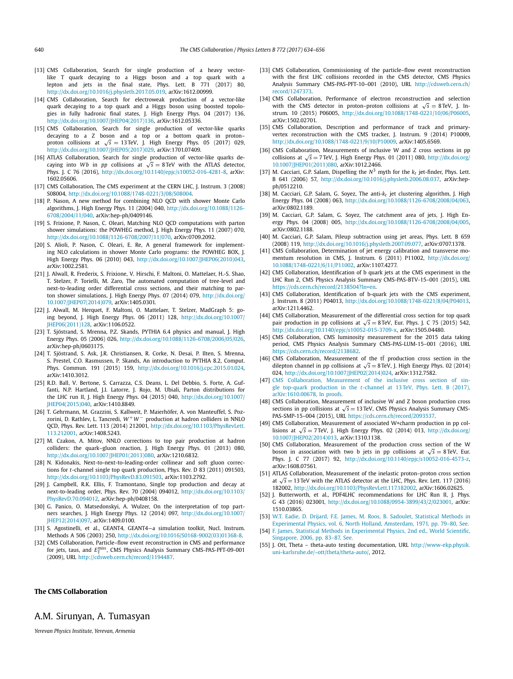- <span id="page-6-0"></span>[13] CMS Collaboration, Search for single production of a heavy vectorlike T quark decaying to a Higgs boson and a top quark with a lepton and jets in the final state, Phys. Lett. B 771 (2017) 80, [http://dx.doi.org/10.1016/j.physletb.2017.05.019,](http://dx.doi.org/10.1016/j.physletb.2017.05.019) arXiv:1612.00999.
- [14] CMS Collaboration, Search for electroweak production of a vector-like quark decaying to a top quark and a Higgs boson using boosted topologies in fully hadronic final states, J. High Energy Phys. 04 (2017) 136, [http://dx.doi.org/10.1007/JHEP04\(2017\)136](http://dx.doi.org/10.1007/JHEP04(2017)136), arXiv:1612.05336.
- [15] CMS Collaboration, Search for single production of vector-like quarks decaying to a Z boson and a top or a bottom quark in proton– proton collisions at  $\sqrt{s} = 13$  TeV, J. High Energy Phys. 05 (2017) 029, [http://dx.doi.org/10.1007/JHEP05\(2017\)029](http://dx.doi.org/10.1007/JHEP05(2017)029), arXiv:1701.07409.
- [16] ATLAS Collaboration, Search for single production of vector-like quarks decaying into *Wb* in *pp* collisions at  $\sqrt{s} = 8 \text{ TeV}$  with the ATLAS detector, Phys. J. C 76 (2016), [http://dx.doi.org/10.1140/epjc/s10052-016-4281-8,](http://dx.doi.org/10.1140/epjc/s10052-016-4281-8) arXiv: 1602.05606.
- [17] CMS Collaboration, The CMS experiment at the CERN LHC, J. Instrum. 3 (2008) S08004, <http://dx.doi.org/10.1088/1748-0221/3/08/S08004>.
- [18] P. Nason, A new method for combining NLO QCD with shower Monte Carlo algorithms, J. High Energy Phys. 11 (2004) 040, [http://dx.doi.org/10.1088/1126-](http://dx.doi.org/10.1088/1126-6708/2004/11/040) [6708/2004/11/040](http://dx.doi.org/10.1088/1126-6708/2004/11/040), arXiv:hep-ph/0409146.
- [19] S. Frixione, P. Nason, C. Oleari, Matching NLO QCD computations with parton shower simulations: the POWHEG method, J. High Energy Phys. 11 (2007) 070, <http://dx.doi.org/10.1088/1126-6708/2007/11/070>, arXiv:0709.2092.
- [20] S. Alioli, P. Nason, C. Oleari, E. Re, A general framework for implementing NLO calculations in shower Monte Carlo programs: the POWHEG BOX, J. High Energy Phys. 06 (2010) 043, [http://dx.doi.org/10.1007/JHEP06\(2010\)043](http://dx.doi.org/10.1007/JHEP06(2010)043), arXiv:1002.2581.
- [21] J. Alwall, R. Frederix, S. Frixione, V. Hirschi, F. Maltoni, O. Mattelaer, H.-S. Shao, T. Stelzer, P. Torielli, M. Zaro, The automated computation of tree-level and next-to-leading order differential cross sections, and their matching to parton shower simulations, J. High Energy Phys. 07 (2014) 079, [http://dx.doi.org/](http://dx.doi.org/10.1007/JHEP07(2014)079) [10.1007/JHEP07\(2014\)079,](http://dx.doi.org/10.1007/JHEP07(2014)079) arXiv:1405.0301.
- [22] J. Alwall, M. Herquet, F. Maltoni, O. Mattelaer, T. Stelzer, MadGraph 5: going beyond, J. High Energy Phys. 06 (2011) 128, [http://dx.doi.org/10.1007/](http://dx.doi.org/10.1007/JHEP06(2011)128) [JHEP06\(2011\)128](http://dx.doi.org/10.1007/JHEP06(2011)128), arXiv:1106.0522.
- [23] T. Sjöstrand, S. Mrenna, P.Z. Skands, PYTHIA 6.4 physics and manual, J. High Energy Phys. 05 (2006) 026, <http://dx.doi.org/10.1088/1126-6708/2006/05/026>, arXiv:hep-ph/0603175.
- [24] T. Sjöstrand, S. Ask, J.R. Christiansen, R. Corke, N. Desai, P. Ilten, S. Mrenna, S. Prestel, C.O. Rasmussen, P. Skands, An introduction to PYTHIA 8.2, Comput. Phys. Commun. 191 (2015) 159, <http://dx.doi.org/10.1016/j.cpc.2015.01.024>, arXiv:1410.3012.
- [25] R.D. Ball, V. Bertone, S. Carrazza, C.S. Deans, L. Del Debbio, S. Forte, A. Guffanti, N.P. Hartland, J.I. Latorre, J. Rojo, M. Ubiali, Parton distributions for the LHC run II, J. High Energy Phys. 04 (2015) 040, [http://dx.doi.org/10.1007/](http://dx.doi.org/10.1007/JHEP04(2015)040) [JHEP04\(2015\)040](http://dx.doi.org/10.1007/JHEP04(2015)040), arXiv:1410.8849.
- [26] T. Gehrmann, M. Grazzini, S. Kallweit, P. Maierhöfer, A. von Manteuffel, S. Pozzorini, D. Rathlev, L. Tancredi, *W*<sup>+</sup>*W*<sup>−</sup> production at hadron colliders in NNLO QCD, Phys. Rev. Lett. 113 (2014) 212001, [http://dx.doi.org/10.1103/PhysRevLett.](http://dx.doi.org/10.1103/PhysRevLett.113.212001) [113.212001](http://dx.doi.org/10.1103/PhysRevLett.113.212001), arXiv:1408.5243.
- [27] M. Czakon, A. Mitov, NNLO corrections to top pair production at hadron colliders: the quark–gluon reaction, J. High Energy Phys. 01 (2013) 080, [http://dx.doi.org/10.1007/JHEP01\(2013\)080](http://dx.doi.org/10.1007/JHEP01(2013)080), arXiv:1210.6832.
- [28] N. Kidonakis, Next-to-next-to-leading-order collinear and soft gluon corrections for *t*-channel single top quark production, Phys. Rev. D 83 (2011) 091503, <http://dx.doi.org/10.1103/PhysRevD.83.091503>, arXiv:1103.2792.
- [29] J. Campbell, R.K. Ellis, F. Tramontano, Single top production and decay at next-to-leading order, Phys. Rev. 70 (2004) 094012, [http://dx.doi.org/10.1103/](http://dx.doi.org/10.1103/PhysRevD.70.094012) [PhysRevD.70.094012,](http://dx.doi.org/10.1103/PhysRevD.70.094012) arXiv:hep-ph/0408158.
- [30] G. Panico, O. Matsedonskyi, A. Wulzer, On the interpretation of top partners searches, J. High Energy Phys. 12 (2014) 097, [http://dx.doi.org/10.1007/](http://dx.doi.org/10.1007/JHEP12(2014)097) [JHEP12\(2014\)097](http://dx.doi.org/10.1007/JHEP12(2014)097), arXiv:1409.0100.
- [31] S. Agostinelli, et al., GEANT4, GEANT4-a simulation toolkit, Nucl. Instrum. Methods A 506 (2003) 250, [http://dx.doi.org/10.1016/S0168-9002\(03\)01368-8](http://dx.doi.org/10.1016/S0168-9002(03)01368-8).
- [32] CMS Collaboration, Particle–flow event reconstruction in CMS and performance for jets, taus, and  $E_{\rm T}^{\rm miss}$ , CMS Physics Analysis Summary CMS-PAS-PFT-09-001 (2009), URL [http://cdsweb.cern.ch/record/1194487.](http://cdsweb.cern.ch/record/1194487)
- [33] CMS Collaboration, Commissioning of the particle-flow event reconstruction with the first LHC collisions recorded in the CMS detector, CMS Physics Analysis Summary CMS-PAS-PFT-10–001 (2010), URL [http://cdsweb.cern.ch/](http://cdsweb.cern.ch/record/1247373) [record/1247373](http://cdsweb.cern.ch/record/1247373).
- [34] CMS Collaboration, Performance of electron reconstruction and selection with the CMS detector in proton–proton collisions at  $\sqrt{s} = 8 \text{ TeV}$ , J. Instrum. 10 (2015) P06005, <http://dx.doi.org/10.1088/1748-0221/10/06/P06005>, arXiv:1502.02701.
- [35] CMS Collaboration, Description and performance of track and primaryvertex reconstruction with the CMS tracker, J. Instrum. 9 (2014) P10009, <http://dx.doi.org/10.1088/1748-0221/9/10/P10009>, arXiv:1405.6569.
- [36] CMS Collaboration, Measurements of inclusive W and Z cross sections in pp collisions at  $\sqrt{s}$  = 7 TeV, J. High Energy Phys. 01 (2011) 080, [http://dx.doi.org/](http://dx.doi.org/10.1007/JHEP01(2011)080) [10.1007/JHEP01\(2011\)080,](http://dx.doi.org/10.1007/JHEP01(2011)080) arXiv:1012.2466.
- [37] M. Cacciari, G.P. Salam, Dispelling the *N*<sup>3</sup> myth for the *kt* jet-finder, Phys. Lett. B 641 (2006) 57, <http://dx.doi.org/10.1016/j.physletb.2006.08.037>, arXiv:hepph/0512210.
- [38] M. Cacciari, G.P. Salam, G. Soyez, The anti- $k_t$  jet clustering algorithm, J. High Energy Phys. 04 (2008) 063, <http://dx.doi.org/10.1088/1126-6708/2008/04/063>, arXiv:0802.1189.
- [39] M. Cacciari, G.P. Salam, G. Soyez, The catchment area of jets, J. High Energy Phys. 04 (2008) 005, <http://dx.doi.org/10.1088/1126-6708/2008/04/005>, arXiv:0802.1188.
- [40] M. Cacciari, G.P. Salam, Pileup subtraction using jet areas, Phys. Lett. B 659 (2008) 119, <http://dx.doi.org/10.1016/j.physletb.2007.09.077>, arXiv:0707.1378.
- [41] CMS Collaboration, Determination of jet energy calibration and transverse momentum resolution in CMS, J. Instrum. 6 (2011) P11002, [http://dx.doi.org/](http://dx.doi.org/10.1088/1748-0221/6/11/P11002) [10.1088/1748-0221/6/11/P11002,](http://dx.doi.org/10.1088/1748-0221/6/11/P11002) arXiv:1107.4277.
- [42] CMS Collaboration, Identification of b quark jets at the CMS experiment in the LHC Run 2, CMS Physics Analysis Summary CMS-PAS-BTV-15–001 (2015), URL [https://cds.cern.ch/record/2138504?ln=en.](https://cds.cern.ch/record/2138504?ln=en)
- [43] CMS Collaboration, Identification of b-quark jets with the CMS experiment, J. Instrum. 8 (2011) P04013, <http://dx.doi.org/10.1088/1748-0221/8/04/P04013>, arXiv:1211.4462.
- [44] CMS Collaboration, Measurement of the differential cross section for top quark pair production in pp collisions at  $\sqrt{s} = 8$  TeV, Eur. Phys. J. C 75 (2015) 542, <http://dx.doi.org/10.1140/epjc/s10052-015-3709-x>, arXiv:1505.04480.
- [45] CMS Collaboration, CMS luminosity measurement for the 2015 data taking period, CMS Physics Analysis Summary CMS-PAS-LUM-15–001 (2016), URL [https://cds.cern.ch/record/2138682.](https://cds.cern.ch/record/2138682)
- [46] CMS Collaboration, Measurement of the  $t\bar{t}$  production cross section in the dilepton channel in pp collisions at  $\sqrt{s} = 8$  TeV, J. High Energy Phys. 02 (2014) 024, [http://dx.doi.org/10.1007/JHEP02\(2014\)024,](http://dx.doi.org/10.1007/JHEP02(2014)024) arXiv:1312.7582.
- [47] CMS [Collaboration,](http://refhub.elsevier.com/S0370-2693(17)30578-6/bib636D735F746F705F7061706572s1) Measurement of the inclusive cross section of single top-quark [production](http://refhub.elsevier.com/S0370-2693(17)30578-6/bib636D735F746F705F7061706572s1) in the *t*-channel at 13 TeV, Phys. Lett. B (2017), [arXiv:1610.00678,](http://refhub.elsevier.com/S0370-2693(17)30578-6/bib636D735F746F705F7061706572s1) In proofs.
- [48] CMS Collaboration, Measurement of inclusive W and Z boson production cross sections in pp collisions at  $\sqrt{s}$  = 13 TeV, CMS Physics Analysis Summary CMS-PAS-SMP-15–004 (2015), URL <https://cds.cern.ch/record/2093537>.
- [49] CMS Collaboration, Measurement of associated W+charm production in pp collisions at  $\sqrt{s}$  = 7 TeV, J. High Energy Phys. 02 (2014) 013, [http://dx.doi.org/](http://dx.doi.org/10.1007/JHEP02(2014)013) [10.1007/JHEP02\(2014\)013,](http://dx.doi.org/10.1007/JHEP02(2014)013) arXiv:1310.1138.
- [50] CMS Collaboration, Measurement of the production cross section of the W boson in association with two b jets in pp collisions at  $\sqrt{s} = 8$  TeV, Eur. Phys. J. C 77 (2017) 92, <http://dx.doi.org/10.1140/epjc/s10052-016-4573-z>, arXiv:1608.07561.
- [51] ATLAS Collaboration, Measurement of the inelastic proton–proton cross section at  $\sqrt{s}$  = 13 TeV with the ATLAS detector at the LHC, Phys. Rev. Lett. 117 (2016) 182002, <http://dx.doi.org/10.1103/PhysRevLett.117.182002>, arXiv:1606.02625.
- [52] J. Butterworth, et al., PDF4LHC recommendations for LHC Run II, J. Phys. G 43 (2016) 023001, [http://dx.doi.org/10.1088/0954-3899/43/2/023001,](http://dx.doi.org/10.1088/0954-3899/43/2/023001) arXiv: 1510.03865.
- [53] W.T. Eadie, D. Drijard, F.E. James, M. Roos, B. Sadoulet, [Statistical](http://refhub.elsevier.com/S0370-2693(17)30578-6/bib6C6F675F7072696F725F72656631s1) Methods in [Experimental](http://refhub.elsevier.com/S0370-2693(17)30578-6/bib6C6F675F7072696F725F72656631s1) Physics, vol. 6, North Holland, Amsterdam, 1971, pp. 79–80, See.
- [54] F. James, Statistical Methods in [Experimental](http://refhub.elsevier.com/S0370-2693(17)30578-6/bib6C6F675F7072696F725F72656632s1) Physics, 2nd ed., World Scientific, Singapore, 2006, [pp. 83–87,](http://refhub.elsevier.com/S0370-2693(17)30578-6/bib6C6F675F7072696F725F72656632s1) See.
- [55] J. Ott, Theta theta-auto testing documentation, URL [http://www-ekp.physik.](http://www-ekp.physik.uni-karlsruhe.de/~ott/theta/theta-auto/) [uni-karlsruhe.de/~ott/theta/theta-auto/,](http://www-ekp.physik.uni-karlsruhe.de/~ott/theta/theta-auto/) 2012.

#### **The CMS Collaboration**

## A.M. Sirunyan, A. Tumasyan

*Yerevan Physics Institute, Yerevan, Armenia*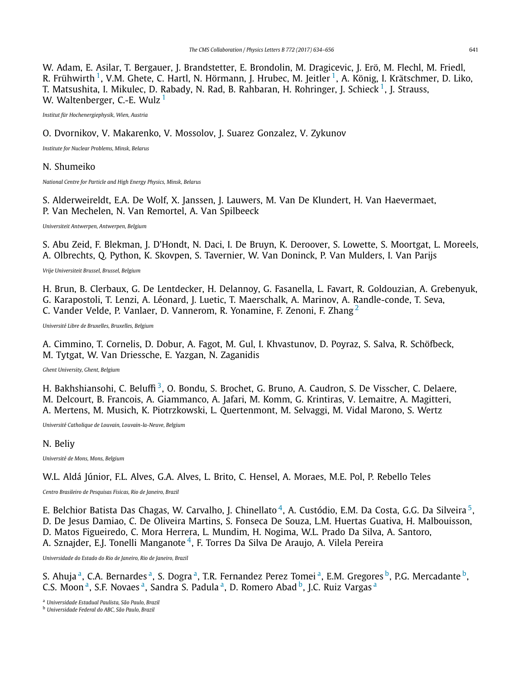W. Adam, E. Asilar, T. Bergauer, J. Brandstetter, E. Brondolin, M. Dragicevic, J. Erö, M. Flechl, M. Friedl, R. Frühwirth <sup>1</sup>, V.M. Ghete, C. Hartl, N. Hörmann, J. Hrubec, M. Jeitler <sup>1</sup>, A. König, I. Krätschmer, D. Liko, T. Matsushita, I. Mikulec, D. Rabady, N. Rad, B. Rahbaran, H. Rohringer, J. Schieck<sup>1</sup>, J. Strauss, W. Waltenberger, C.-E. Wulz<sup>[1](#page-21-0)</sup>

*Institut für Hochenergiephysik, Wien, Austria*

### O. Dvornikov, V. Makarenko, V. Mossolov, J. Suarez Gonzalez, V. Zykunov

*Institute for Nuclear Problems, Minsk, Belarus*

#### N. Shumeiko

*National Centre for Particle and High Energy Physics, Minsk, Belarus*

S. Alderweireldt, E.A. De Wolf, X. Janssen, J. Lauwers, M. Van De Klundert, H. Van Haevermaet, P. Van Mechelen, N. Van Remortel, A. Van Spilbeeck

*Universiteit Antwerpen, Antwerpen, Belgium*

S. Abu Zeid, F. Blekman, J. D'Hondt, N. Daci, I. De Bruyn, K. Deroover, S. Lowette, S. Moortgat, L. Moreels, A. Olbrechts, Q. Python, K. Skovpen, S. Tavernier, W. Van Doninck, P. Van Mulders, I. Van Parijs

*Vrije Universiteit Brussel, Brussel, Belgium*

H. Brun, B. Clerbaux, G. De Lentdecker, H. Delannoy, G. Fasanella, L. Favart, R. Goldouzian, A. Grebenyuk, G. Karapostoli, T. Lenzi, A. Léonard, J. Luetic, T. Maerschalk, A. Marinov, A. Randle-conde, T. Seva, C. Vander Velde, P. Vanlaer, D. Vannerom, R. Yonamine, F. Zenoni, F. Zhang [2](#page-21-0)

*Université Libre de Bruxelles, Bruxelles, Belgium*

A. Cimmino, T. Cornelis, D. Dobur, A. Fagot, M. Gul, I. Khvastunov, D. Poyraz, S. Salva, R. Schöfbeck, M. Tytgat, W. Van Driessche, E. Yazgan, N. Zaganidis

*Ghent University, Ghent, Belgium*

H. Bakhshiansohi, C. Beluffi<sup>3</sup>, O. Bondu, S. Brochet, G. Bruno, A. Caudron, S. De Visscher, C. Delaere, M. Delcourt, B. Francois, A. Giammanco, A. Jafari, M. Komm, G. Krintiras, V. Lemaitre, A. Magitteri, A. Mertens, M. Musich, K. Piotrzkowski, L. Quertenmont, M. Selvaggi, M. Vidal Marono, S. Wertz

*Université Catholique de Louvain, Louvain-la-Neuve, Belgium*

## N. Beliy

*Université de Mons, Mons, Belgium*

W.L. Aldá Júnior, F.L. Alves, G.A. Alves, L. Brito, C. Hensel, A. Moraes, M.E. Pol, P. Rebello Teles

*Centro Brasileiro de Pesquisas Fisicas, Rio de Janeiro, Brazil*

E. Belchior Batista Das Chagas, W. Carvalho, J. Chinellato<sup>[4](#page-21-0)</sup>, A. Custódio, E.M. Da Costa, G.G. Da Silveira<sup>5</sup>, D. De Jesus Damiao, C. De Oliveira Martins, S. Fonseca De Souza, L.M. Huertas Guativa, H. Malbouisson, D. Matos Figueiredo, C. Mora Herrera, L. Mundim, H. Nogima, W.L. Prado Da Silva, A. Santoro, A. Sznajder, E.J. Tonelli Manganote<sup>4</sup>, F. Torres Da Silva De Araujo, A. Vilela Pereira

*Universidade do Estado do Rio de Janeiro, Rio de Janeiro, Brazil*

S. Ahuja<sup>a</sup>, C.A. Bernardes<sup>a</sup>, S. Dogra<sup>a</sup>, T.R. Fernandez Perez Tomei<sup>a</sup>, E.M. Gregores<sup>b</sup>, P.G. Mercadante<sup>b</sup>, C.S. Moon<sup>a</sup>, S.F. Novaes<sup>a</sup>, Sandra S. Padula<sup>a</sup>, D. Romero Abad <sup>b</sup>, J.C. Ruiz Vargas <sup>a</sup>

<sup>a</sup> *Universidade Estadual Paulista, São Paulo, Brazil*

<sup>b</sup> *Universidade Federal do ABC, São Paulo, Brazil*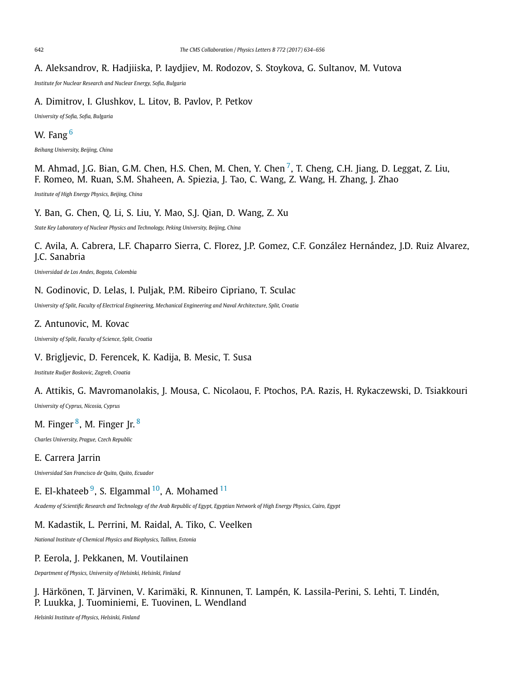### A. Aleksandrov, R. Hadjiiska, P. Iaydjiev, M. Rodozov, S. Stoykova, G. Sultanov, M. Vutova

*Institute for Nuclear Research and Nuclear Energy, Sofia, Bulgaria*

#### A. Dimitrov, I. Glushkov, L. Litov, B. Pavlov, P. Petkov

*University of Sofia, Sofia, Bulgaria*

### W. Fang<sup>[6](#page-21-0)</sup>

*Beihang University, Beijing, China*

M. Ahmad, J.G. Bian, G.M. Chen, H.S. Chen, M. Chen, Y. Chen<sup>7</sup>, T. Cheng, C.H. Jiang, D. Leggat, Z. Liu, F. Romeo, M. Ruan, S.M. Shaheen, A. Spiezia, J. Tao, C. Wang, Z. Wang, H. Zhang, J. Zhao

*Institute of High Energy Physics, Beijing, China*

#### Y. Ban, G. Chen, Q. Li, S. Liu, Y. Mao, S.J. Qian, D. Wang, Z. Xu

*State Key Laboratory of Nuclear Physics and Technology, Peking University, Beijing, China*

### C. Avila, A. Cabrera, L.F. Chaparro Sierra, C. Florez, J.P. Gomez, C.F. González Hernández, J.D. Ruiz Alvarez, J.C. Sanabria

*Universidad de Los Andes, Bogota, Colombia*

#### N. Godinovic, D. Lelas, I. Puljak, P.M. Ribeiro Cipriano, T. Sculac

*University of Split, Faculty of Electrical Engineering, Mechanical Engineering and Naval Architecture, Split, Croatia*

#### Z. Antunovic, M. Kovac

*University of Split, Faculty of Science, Split, Croatia*

#### V. Brigljevic, D. Ferencek, K. Kadija, B. Mesic, T. Susa

*Institute Rudjer Boskovic, Zagreb, Croatia*

### A. Attikis, G. Mavromanolakis, J. Mousa, C. Nicolaou, F. Ptochos, P.A. Razis, H. Rykaczewski, D. Tsiakkouri

*University of Cyprus, Nicosia, Cyprus*

## M. Finger  $\frac{8}{3}$  $\frac{8}{3}$  $\frac{8}{3}$ , M. Finger Jr.  $\frac{8}{3}$

*Charles University, Prague, Czech Republic*

#### E. Carrera Jarrin

*Universidad San Francisco de Quito, Quito, Ecuador*

## E. El-khateeb<sup>9</sup>, S. Elgammal<sup>10</sup>, A. Mohamed<sup>[11](#page-21-0)</sup>

Academy of Scientific Research and Technology of the Arab Republic of Egypt, Egyptian Network of High Energy Physics, Cairo, Egypt

#### M. Kadastik, L. Perrini, M. Raidal, A. Tiko, C. Veelken

*National Institute of Chemical Physics and Biophysics, Tallinn, Estonia*

#### P. Eerola, J. Pekkanen, M. Voutilainen

*Department of Physics, University of Helsinki, Helsinki, Finland*

J. Härkönen, T. Järvinen, V. Karimäki, R. Kinnunen, T. Lampén, K. Lassila-Perini, S. Lehti, T. Lindén, P. Luukka, J. Tuominiemi, E. Tuovinen, L. Wendland

*Helsinki Institute of Physics, Helsinki, Finland*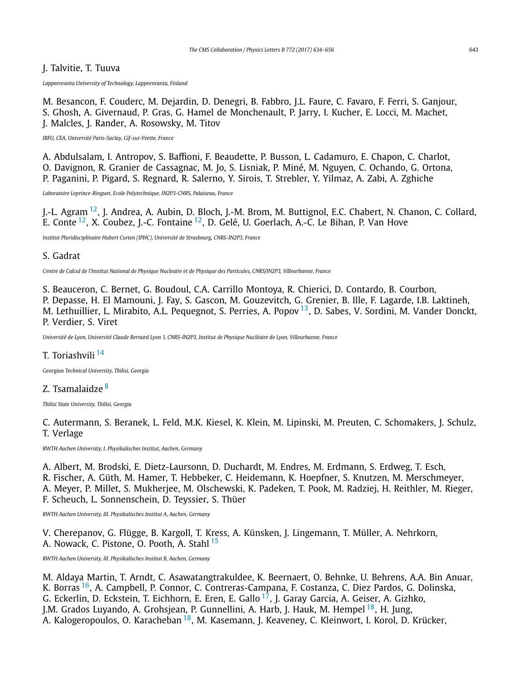## J. Talvitie, T. Tuuva

*Lappeenranta University of Technology, Lappeenranta, Finland*

M. Besancon, F. Couderc, M. Dejardin, D. Denegri, B. Fabbro, J.L. Faure, C. Favaro, F. Ferri, S. Ganjour, S. Ghosh, A. Givernaud, P. Gras, G. Hamel de Monchenault, P. Jarry, I. Kucher, E. Locci, M. Machet, J. Malcles, J. Rander, A. Rosowsky, M. Titov

*IRFU, CEA, Université Paris-Saclay, Gif-sur-Yvette, France*

A. Abdulsalam, I. Antropov, S. Baffioni, F. Beaudette, P. Busson, L. Cadamuro, E. Chapon, C. Charlot, O. Davignon, R. Granier de Cassagnac, M. Jo, S. Lisniak, P. Miné, M. Nguyen, C. Ochando, G. Ortona, P. Paganini, P. Pigard, S. Regnard, R. Salerno, Y. Sirois, T. Strebler, Y. Yilmaz, A. Zabi, A. Zghiche

*Laboratoire Leprince-Ringuet, Ecole Polytechnique, IN2P3-CNRS, Palaiseau, France*

J.-L. Agram [12,](#page-21-0) J. Andrea, A. Aubin, D. Bloch, J.-M. Brom, M. Buttignol, E.C. Chabert, N. Chanon, C. Collard, E. Conte [12,](#page-21-0) X. Coubez, J.-C. Fontaine [12](#page-21-0), D. Gelé, U. Goerlach, A.-C. Le Bihan, P. Van Hove

*Institut Pluridisciplinaire Hubert Curien (IPHC), Université de Strasbourg, CNRS-IN2P3, France*

### S. Gadrat

Centre de Calcul de l'Institut National de Physique Nucleaire et de Physique des Particules, CNRS/IN2P3, Villeurbanne, France

S. Beauceron, C. Bernet, G. Boudoul, C.A. Carrillo Montoya, R. Chierici, D. Contardo, B. Courbon, P. Depasse, H. El Mamouni, J. Fay, S. Gascon, M. Gouzevitch, G. Grenier, B. Ille, F. Lagarde, I.B. Laktineh, M. Lethuillier, L. Mirabito, A.L. Pequegnot, S. Perries, A. Popov <sup>[13](#page-21-0)</sup>, D. Sabes, V. Sordini, M. Vander Donckt, P. Verdier, S. Viret

Université de Lyon, Université Claude Bernard Lyon 1, CNRS-IN2P3, Institut de Physique Nucléaire de Lyon, Villeurbanne, France

## T. Toriashvili [14](#page-21-0)

*Georgian Technical University, Tbilisi, Georgia*

## Z. Tsamalaidze<sup>[8](#page-21-0)</sup>

*Tbilisi State University, Tbilisi, Georgia*

C. Autermann, S. Beranek, L. Feld, M.K. Kiesel, K. Klein, M. Lipinski, M. Preuten, C. Schomakers, J. Schulz, T. Verlage

*RWTH Aachen University, I. Physikalisches Institut, Aachen, Germany*

A. Albert, M. Brodski, E. Dietz-Laursonn, D. Duchardt, M. Endres, M. Erdmann, S. Erdweg, T. Esch, R. Fischer, A. Güth, M. Hamer, T. Hebbeker, C. Heidemann, K. Hoepfner, S. Knutzen, M. Merschmeyer, A. Meyer, P. Millet, S. Mukherjee, M. Olschewski, K. Padeken, T. Pook, M. Radziej, H. Reithler, M. Rieger, F. Scheuch, L. Sonnenschein, D. Teyssier, S. Thüer

*RWTH Aachen University, III. Physikalisches Institut A, Aachen, Germany*

V. Cherepanov, G. Flügge, B. Kargoll, T. Kress, A. Künsken, J. Lingemann, T. Müller, A. Nehrkorn, A. Nowack, C. Pistone, O. Pooth, A. Stahl [15](#page-21-0)

*RWTH Aachen University, III. Physikalisches Institut B, Aachen, Germany*

M. Aldaya Martin, T. Arndt, C. Asawatangtrakuldee, K. Beernaert, O. Behnke, U. Behrens, A.A. Bin Anuar, K. Borras [16,](#page-21-0) A. Campbell, P. Connor, C. Contreras-Campana, F. Costanza, C. Diez Pardos, G. Dolinska, G. Eckerlin, D. Eckstein, T. Eichhorn, E. Eren, E. Gallo<sup>17</sup>, J. Garay Garcia, A. Geiser, A. Gizhko, J.M. Grados Luyando, A. Grohsjean, P. Gunnellini, A. Harb, J. Hauk, M. Hempel<sup>[18](#page-21-0)</sup>, H. Jung, A. Kalogeropoulos, O. Karacheban <sup>[18](#page-21-0)</sup>, M. Kasemann, J. Keaveney, C. Kleinwort, I. Korol, D. Krücker,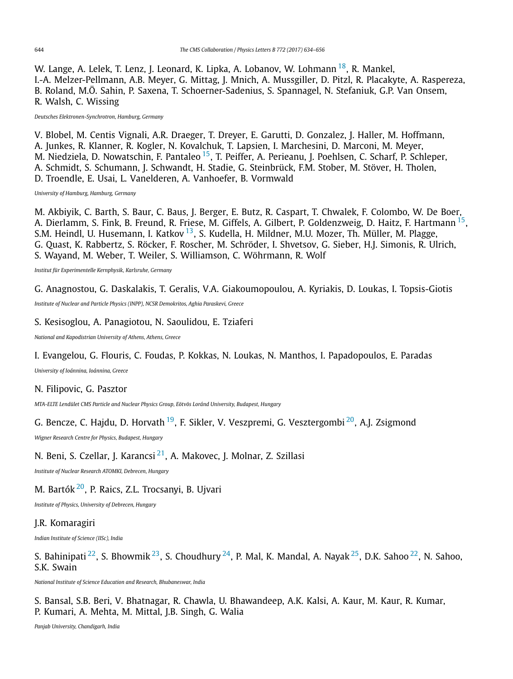W. Lange, A. Lelek, T. Lenz, J. Leonard, K. Lipka, A. Lobanov, W. Lohmann <sup>18</sup>, R. Mankel, I.-A. Melzer-Pellmann, A.B. Meyer, G. Mittag, J. Mnich, A. Mussgiller, D. Pitzl, R. Placakyte, A. Raspereza, B. Roland, M.Ö. Sahin, P. Saxena, T. Schoerner-Sadenius, S. Spannagel, N. Stefaniuk, G.P. Van Onsem, R. Walsh, C. Wissing

*Deutsches Elektronen-Synchrotron, Hamburg, Germany*

V. Blobel, M. Centis Vignali, A.R. Draeger, T. Dreyer, E. Garutti, D. Gonzalez, J. Haller, M. Hoffmann, A. Junkes, R. Klanner, R. Kogler, N. Kovalchuk, T. Lapsien, I. Marchesini, D. Marconi, M. Meyer, M. Niedziela, D. Nowatschin, F. Pantaleo [15,](#page-21-0) T. Peiffer, A. Perieanu, J. Poehlsen, C. Scharf, P. Schleper, A. Schmidt, S. Schumann, J. Schwandt, H. Stadie, G. Steinbrück, F.M. Stober, M. Stöver, H. Tholen, D. Troendle, E. Usai, L. Vanelderen, A. Vanhoefer, B. Vormwald

*University of Hamburg, Hamburg, Germany*

M. Akbiyik, C. Barth, S. Baur, C. Baus, J. Berger, E. Butz, R. Caspart, T. Chwalek, F. Colombo, W. De Boer, A. Dierlamm, S. Fink, B. Freund, R. Friese, M. Giffels, A. Gilbert, P. Goldenzweig, D. Haitz, F. Hartmann [15,](#page-21-0) S.M. Heindl, U. Husemann, I. Katkov<sup>13</sup>, S. Kudella, H. Mildner, M.U. Mozer, Th. Müller, M. Plagge, G. Quast, K. Rabbertz, S. Röcker, F. Roscher, M. Schröder, I. Shvetsov, G. Sieber, H.J. Simonis, R. Ulrich, S. Wayand, M. Weber, T. Weiler, S. Williamson, C. Wöhrmann, R. Wolf

*Institut für Experimentelle Kernphysik, Karlsruhe, Germany*

G. Anagnostou, G. Daskalakis, T. Geralis, V.A. Giakoumopoulou, A. Kyriakis, D. Loukas, I. Topsis-Giotis

*Institute of Nuclear and Particle Physics (INPP), NCSR Demokritos, Aghia Paraskevi, Greece*

#### S. Kesisoglou, A. Panagiotou, N. Saoulidou, E. Tziaferi

*National and Kapodistrian University of Athens, Athens, Greece*

#### I. Evangelou, G. Flouris, C. Foudas, P. Kokkas, N. Loukas, N. Manthos, I. Papadopoulos, E. Paradas

*University of Ioánnina, Ioánnina, Greece*

#### N. Filipovic, G. Pasztor

*MTA-ELTE Lendület CMS Particle and Nuclear Physics Group, Eötvös Loránd University, Budapest, Hungary*

## G. Bencze, C. Hajdu, D. Horvath [19,](#page-21-0) F. Sikler, V. Veszpremi, G. Vesztergombi [20,](#page-21-0) A.J. Zsigmond

*Wigner Research Centre for Physics, Budapest, Hungary*

## N. Beni, S. Czellar, J. Karancsi [21,](#page-21-0) A. Makovec, J. Molnar, Z. Szillasi

*Institute of Nuclear Research ATOMKI, Debrecen, Hungary*

## M. Bartók [20,](#page-21-0) P. Raics, Z.L. Trocsanyi, B. Ujvari

*Institute of Physics, University of Debrecen, Hungary*

#### J.R. Komaragiri

*Indian Institute of Science (IISc), India*

S. Bahinipati <sup>22</sup>, S. Bhowmik <sup>23</sup>, S. Choudhury <sup>24</sup>, P. Mal, K. Mandal, A. Nayak <sup>25</sup>, D.K. Sahoo <sup>22</sup>, N. Sahoo, S.K. Swain

*National Institute of Science Education and Research, Bhubaneswar, India*

S. Bansal, S.B. Beri, V. Bhatnagar, R. Chawla, U. Bhawandeep, A.K. Kalsi, A. Kaur, M. Kaur, R. Kumar, P. Kumari, A. Mehta, M. Mittal, J.B. Singh, G. Walia

*Panjab University, Chandigarh, India*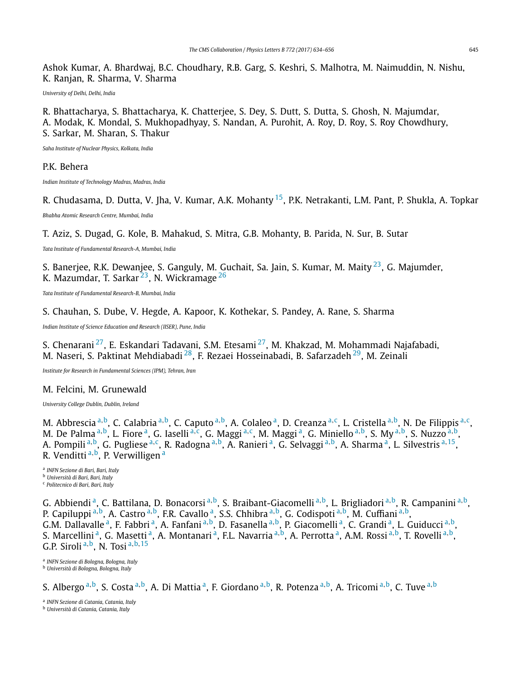Ashok Kumar, A. Bhardwaj, B.C. Choudhary, R.B. Garg, S. Keshri, S. Malhotra, M. Naimuddin, N. Nishu, K. Ranjan, R. Sharma, V. Sharma

*University of Delhi, Delhi, India*

R. Bhattacharya, S. Bhattacharya, K. Chatterjee, S. Dey, S. Dutt, S. Dutta, S. Ghosh, N. Majumdar, A. Modak, K. Mondal, S. Mukhopadhyay, S. Nandan, A. Purohit, A. Roy, D. Roy, S. Roy Chowdhury, S. Sarkar, M. Sharan, S. Thakur

*Saha Institute of Nuclear Physics, Kolkata, India*

#### P.K. Behera

*Indian Institute of Technology Madras, Madras, India*

R. Chudasama, D. Dutta, V. Jha, V. Kumar, A.K. Mohanty <sup>15</sup>, P.K. Netrakanti, L.M. Pant, P. Shukla, A. Topkar *Bhabha Atomic Research Centre, Mumbai, India*

T. Aziz, S. Dugad, G. Kole, B. Mahakud, S. Mitra, G.B. Mohanty, B. Parida, N. Sur, B. Sutar

*Tata Institute of Fundamental Research-A, Mumbai, India*

S. Banerjee, R.K. Dewanjee, S. Ganguly, M. Guchait, Sa. Jain, S. Kumar, M. Maity  $^{23}$  $^{23}$  $^{23}$ , G. Majumder, K. Mazumdar, T. Sarkar  $^{23}$  $^{23}$  $^{23}$ , N. Wickramage  $^{26}$  $^{26}$  $^{26}$ 

*Tata Institute of Fundamental Research-B, Mumbai, India*

S. Chauhan, S. Dube, V. Hegde, A. Kapoor, K. Kothekar, S. Pandey, A. Rane, S. Sharma

*Indian Institute of Science Education and Research (IISER), Pune, India*

S. Chenarani [27,](#page-21-0) E. Eskandari Tadavani, S.M. Etesami [27,](#page-21-0) M. Khakzad, M. Mohammadi Najafabadi, M. Naseri, S. Paktinat Mehdiabadi [28,](#page-21-0) F. Rezaei Hosseinabadi, B. Safarzadeh [29,](#page-21-0) M. Zeinali

*Institute for Research in Fundamental Sciences (IPM), Tehran, Iran*

#### M. Felcini, M. Grunewald

*University College Dublin, Dublin, Ireland*

M. Abbrescia <sup>a</sup>*,*b, C. Calabria <sup>a</sup>*,*b, C. Caputo <sup>a</sup>*,*b, A. Colaleo a, D. Creanza <sup>a</sup>*,*c, L. Cristella <sup>a</sup>*,*b, N. De Filippis <sup>a</sup>*,*c, M. De Palma <sup>a</sup>*,*b, L. Fiore a, G. Iaselli <sup>a</sup>*,*c, G. Maggi <sup>a</sup>*,*c, M. Maggi a, G. Miniello <sup>a</sup>*,*b, S. My <sup>a</sup>*,*b, S. Nuzzo <sup>a</sup>*,*b, A. Pompili <sup>a</sup>*,*b, G. Pugliese <sup>a</sup>*,*c, R. Radogna <sup>a</sup>*,*b, A. Ranieri a, G. Selvaggi <sup>a</sup>*,*b, A. Sharma a, L. Silvestris <sup>a</sup>*,*[15,](#page-21-0) R. Venditti <sup>a</sup>*,*b, P. Verwilligen <sup>a</sup>

G. Abbiendi a, C. Battilana, D. Bonacorsi <sup>a</sup>*,*b, S. Braibant-Giacomelli <sup>a</sup>*,*b, L. Brigliadori <sup>a</sup>*,*b, R. Campanini <sup>a</sup>*,*b, P. Capiluppi <sup>a</sup>*,*b, A. Castro <sup>a</sup>*,*b, F.R. Cavallo a, S.S. Chhibra <sup>a</sup>*,*b, G. Codispoti <sup>a</sup>*,*b, M. Cuffiani <sup>a</sup>*,*b, G.M. Dallavalle <sup>a</sup>, F. Fabbri <sup>a</sup>, A. Fanfani <sup>a,b</sup>, D. Fasanella <sup>a,b</sup>, P. Giacomelli <sup>a</sup>, C. Grandi <sup>a</sup>, L. Guiducci <sup>a,b</sup>, S. Marcellini<sup>a</sup>, G. Masetti<sup>a</sup>, A. Montanari<sup>a</sup>, F.L. Navarria <sup>a, b</sup>, A. Perrotta <sup>a</sup>, A.M. Rossi <sup>a, b</sup>, T. Rovelli <sup>a, b</sup>, G.P. Siroli <sup>a</sup>*,*b, N. Tosi <sup>a</sup>*,*b*,*[15](#page-21-0)

<sup>a</sup> *INFN Sezione di Bologna, Bologna, Italy*

<sup>b</sup> *Università di Bologna, Bologna, Italy*

S. Albergo <sup>a</sup>*,*b, S. Costa <sup>a</sup>*,*b, A. Di Mattia a, F. Giordano <sup>a</sup>*,*b, R. Potenza <sup>a</sup>*,*b, A. Tricomi <sup>a</sup>*,*b, C. Tuve <sup>a</sup>*,*<sup>b</sup>

<sup>a</sup> *INFN Sezione di Catania, Catania, Italy*

<sup>b</sup> *Università di Catania, Catania, Italy*

<sup>a</sup> *INFN Sezione di Bari, Bari, Italy* <sup>b</sup> *Università di Bari, Bari, Italy*

<sup>c</sup> *Politecnico di Bari, Bari, Italy*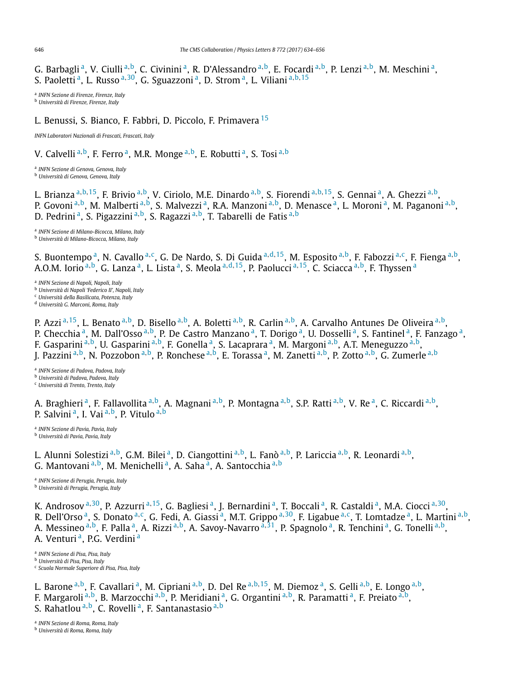G. Barbagli a, V. Ciulli <sup>a</sup>*,*b, C. Civinini a, R. D'Alessandro <sup>a</sup>*,*b, E. Focardi <sup>a</sup>*,*b, P. Lenzi <sup>a</sup>*,*b, M. Meschini a, S. Paoletti a, L. Russo <sup>a</sup>*,*[30](#page-21-0), G. Sguazzoni a, D. Strom a, L. Viliani <sup>a</sup>*,*b*,*[15](#page-21-0)

<sup>a</sup> *INFN Sezione di Firenze, Firenze, Italy* <sup>b</sup> *Università di Firenze, Firenze, Italy*

### L. Benussi, S. Bianco, F. Fabbri, D. Piccolo, F. Primavera [15](#page-21-0)

*INFN Laboratori Nazionali di Frascati, Frascati, Italy*

V. Calvelli <sup>a</sup>*,*b, F. Ferro a, M.R. Monge <sup>a</sup>*,*b, E. Robutti a, S. Tosi <sup>a</sup>*,*<sup>b</sup>

<sup>a</sup> *INFN Sezione di Genova, Genova, Italy* <sup>b</sup> *Università di Genova, Genova, Italy*

L. Brianza <sup>a</sup>*,*b*,*[15,](#page-21-0) F. Brivio <sup>a</sup>*,*b, V. Ciriolo, M.E. Dinardo <sup>a</sup>*,*b, S. Fiorendi <sup>a</sup>*,*b*,*[15](#page-21-0), S. Gennai a, A. Ghezzi <sup>a</sup>*,*b, P. Govoni <sup>a</sup>*,*b, M. Malberti <sup>a</sup>*,*b, S. Malvezzi a, R.A. Manzoni <sup>a</sup>*,*b, D. Menasce a, L. Moroni a, M. Paganoni <sup>a</sup>*,*b, D. Pedrini a, S. Pigazzini <sup>a</sup>*,*b, S. Ragazzi <sup>a</sup>*,*b, T. Tabarelli de Fatis <sup>a</sup>*,*<sup>b</sup>

<sup>a</sup> *INFN Sezione di Milano-Bicocca, Milano, Italy*

<sup>b</sup> *Università di Milano-Bicocca, Milano, Italy*

S. Buontempo a, N. Cavallo <sup>a</sup>*,*c, G. De Nardo, S. Di Guida <sup>a</sup>*,*d*,*[15,](#page-21-0) M. Esposito <sup>a</sup>*,*b, F. Fabozzi <sup>a</sup>*,*c, F. Fienga <sup>a</sup>*,*b, A.O.M. Iorio <sup>a</sup>*,*b, G. Lanza a, L. Lista a, S. Meola <sup>a</sup>*,*d*,*[15,](#page-21-0) P. Paolucci <sup>a</sup>*,*[15,](#page-21-0) C. Sciacca <sup>a</sup>*,*b, F. Thyssen <sup>a</sup>

<sup>a</sup> *INFN Sezione di Napoli, Napoli, Italy*

<sup>b</sup> *Università di Napoli 'Federico II', Napoli, Italy*

<sup>c</sup> *Università della Basilicata, Potenza, Italy*

<sup>d</sup> *Università G. Marconi, Roma, Italy*

P. Azzi <sup>a</sup>*,*[15,](#page-21-0) L. Benato <sup>a</sup>*,*b, D. Bisello <sup>a</sup>*,*b, A. Boletti <sup>a</sup>*,*b, R. Carlin <sup>a</sup>*,*b, A. Carvalho Antunes De Oliveira <sup>a</sup>*,*b, P. Checchia <sup>a</sup>, M. Dall'Osso <sup>a,b</sup>, P. De Castro Manzano <sup>a</sup>, T. Dorigo <sup>a</sup>, U. Dosselli <sup>a</sup>, S. Fantinel <sup>a</sup>, F. Fanzago <sup>a</sup>, F. Gasparini <sup>a</sup>*,*b, U. Gasparini <sup>a</sup>*,*b, F. Gonella a, S. Lacaprara a, M. Margoni <sup>a</sup>*,*b, A.T. Meneguzzo <sup>a</sup>*,*b, J. Pazzini <sup>a</sup>*,*b, N. Pozzobon <sup>a</sup>*,*b, P. Ronchese <sup>a</sup>*,*b, E. Torassa a, M. Zanetti <sup>a</sup>*,*b, P. Zotto <sup>a</sup>*,*b, G. Zumerle <sup>a</sup>*,*<sup>b</sup>

<sup>a</sup> *INFN Sezione di Padova, Padova, Italy*

<sup>b</sup> *Università di Padova, Padova, Italy*

<sup>c</sup> *Università di Trento, Trento, Italy*

A. Braghieri a, F. Fallavollita <sup>a</sup>*,*b, A. Magnani <sup>a</sup>*,*b, P. Montagna <sup>a</sup>*,*b, S.P. Ratti <sup>a</sup>*,*b, V. Re a, C. Riccardi <sup>a</sup>*,*b, P. Salvini a, I. Vai <sup>a</sup>*,*b, P. Vitulo <sup>a</sup>*,*<sup>b</sup>

<sup>a</sup> *INFN Sezione di Pavia, Pavia, Italy* <sup>b</sup> *Università di Pavia, Pavia, Italy*

L. Alunni Solestizi <sup>a</sup>*,*b, G.M. Bilei a, D. Ciangottini <sup>a</sup>*,*b, L. Fanò <sup>a</sup>*,*b, P. Lariccia <sup>a</sup>*,*b, R. Leonardi <sup>a</sup>*,*b, G. Mantovani <sup>a</sup>*,*b, M. Menichelli a, A. Saha a, A. Santocchia <sup>a</sup>*,*<sup>b</sup>

<sup>a</sup> *INFN Sezione di Perugia, Perugia, Italy* <sup>b</sup> *Università di Perugia, Perugia, Italy*

K. Androsov<sup>a,30</sup>, P. Azzurri<sup>a,15</sup>, G. Bagliesi<sup>a</sup>, J. Bernardini<sup>a</sup>, T. Boccali<sup>a</sup>, R. Castaldi<sup>a</sup>, M.A. Ciocci<sup>a,30</sup>, R. Dell'Orso a, S. Donato <sup>a</sup>*,*c, G. Fedi, A. Giassi a, M.T. Grippo <sup>a</sup>*,*[30,](#page-21-0) F. Ligabue <sup>a</sup>*,*c, T. Lomtadze a, L. Martini <sup>a</sup>*,*b, A. Messineo <sup>a</sup>*,*b, F. Palla a, A. Rizzi <sup>a</sup>*,*b, A. Savoy-Navarro <sup>a</sup>*,*[31,](#page-21-0) P. Spagnolo a, R. Tenchini a, G. Tonelli <sup>a</sup>*,*b, A. Venturi<sup>a</sup>, P.G. Verdini<sup>a</sup>

<sup>a</sup> *INFN Sezione di Pisa, Pisa, Italy*

<sup>b</sup> *Università di Pisa, Pisa, Italy*

<sup>c</sup> *Scuola Normale Superiore di Pisa, Pisa, Italy*

L. Barone a,b, F. Cavallari a, M. Cipriani a,b, D. Del Re a,b, [15,](#page-21-0) M. Diemoz a, S. Gelli a,b, E. Longo a,b, F. Margaroli <sup>a</sup>*,*b, B. Marzocchi <sup>a</sup>*,*b, P. Meridiani a, G. Organtini <sup>a</sup>*,*b, R. Paramatti a, F. Preiato <sup>a</sup>*,*b, S. Rahatlou <sup>a</sup>*,*b, C. Rovelli a, F. Santanastasio <sup>a</sup>*,*<sup>b</sup>

<sup>a</sup> *INFN Sezione di Roma, Roma, Italy*

<sup>b</sup> *Università di Roma, Roma, Italy*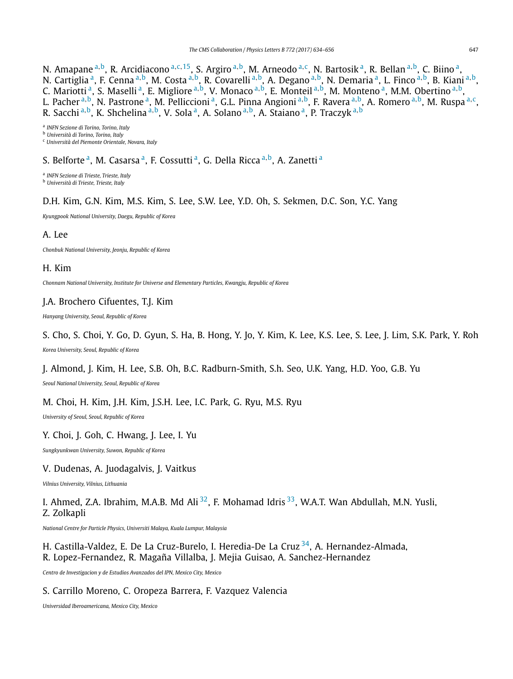N. Amapane <sup>a</sup>*,*b, R. Arcidiacono <sup>a</sup>*,*c*,*[15,](#page-21-0) S. Argiro <sup>a</sup>*,*b, M. Arneodo <sup>a</sup>*,*c, N. Bartosik a, R. Bellan <sup>a</sup>*,*b, C. Biino a, N. Cartiglia a, F. Cenna <sup>a</sup>*,*b, M. Costa <sup>a</sup>*,*b, R. Covarelli <sup>a</sup>*,*b, A. Degano <sup>a</sup>*,*b, N. Demaria a, L. Finco <sup>a</sup>*,*b, B. Kiani <sup>a</sup>*,*b, C. Mariotti a, S. Maselli a, E. Migliore <sup>a</sup>*,*b, V. Monaco <sup>a</sup>*,*b, E. Monteil <sup>a</sup>*,*b, M. Monteno a, M.M. Obertino <sup>a</sup>*,*b, L. Pacher <sup>a</sup>*,*b, N. Pastrone a, M. Pelliccioni a, G.L. Pinna Angioni <sup>a</sup>*,*b, F. Ravera <sup>a</sup>*,*b, A. Romero <sup>a</sup>*,*b, M. Ruspa <sup>a</sup>*,*c, R. Sacchi <sup>a</sup>*,*b, K. Shchelina <sup>a</sup>*,*b, V. Sola a, A. Solano <sup>a</sup>*,*b, A. Staiano a, P. Traczyk <sup>a</sup>*,*<sup>b</sup>

<sup>a</sup> *INFN Sezione di Torino, Torino, Italy* <sup>b</sup> *Università di Torino, Torino, Italy*

<sup>c</sup> *Università del Piemonte Orientale, Novara, Italy*

### S. Belforte<sup>a</sup>, M. Casarsa<sup>a</sup>, F. Cossutti<sup>a</sup>, G. Della Ricca<sup>a,b</sup>, A. Zanetti<sup>a</sup>

<sup>a</sup> *INFN Sezione di Trieste, Trieste, Italy*

<sup>b</sup> *Università di Trieste, Trieste, Italy*

#### D.H. Kim, G.N. Kim, M.S. Kim, S. Lee, S.W. Lee, Y.D. Oh, S. Sekmen, D.C. Son, Y.C. Yang

*Kyungpook National University, Daegu, Republic of Korea*

#### A. Lee

*Chonbuk National University, Jeonju, Republic of Korea*

#### H. Kim

*Chonnam National University, Institute for Universe and Elementary Particles, Kwangju, Republic of Korea*

#### J.A. Brochero Cifuentes, T.J. Kim

*Hanyang University, Seoul, Republic of Korea*

S. Cho, S. Choi, Y. Go, D. Gyun, S. Ha, B. Hong, Y. Jo, Y. Kim, K. Lee, K.S. Lee, S. Lee, J. Lim, S.K. Park, Y. Roh

*Korea University, Seoul, Republic of Korea*

#### J. Almond, J. Kim, H. Lee, S.B. Oh, B.C. Radburn-Smith, S.h. Seo, U.K. Yang, H.D. Yoo, G.B. Yu

*Seoul National University, Seoul, Republic of Korea*

#### M. Choi, H. Kim, J.H. Kim, J.S.H. Lee, I.C. Park, G. Ryu, M.S. Ryu

*University of Seoul, Seoul, Republic of Korea*

#### Y. Choi, J. Goh, C. Hwang, J. Lee, I. Yu

*Sungkyunkwan University, Suwon, Republic of Korea*

### V. Dudenas, A. Juodagalvis, J. Vaitkus

*Vilnius University, Vilnius, Lithuania*

## I. Ahmed, Z.A. Ibrahim, M.A.B. Md Ali  $^{32}$ , F. Mohamad Idris  $^{33}$ , W.A.T. Wan Abdullah, M.N. Yusli, Z. Zolkapli

*National Centre for Particle Physics, Universiti Malaya, Kuala Lumpur, Malaysia*

## H. Castilla-Valdez, E. De La Cruz-Burelo, I. Heredia-De La Cruz  $34$ , A. Hernandez-Almada, R. Lopez-Fernandez, R. Magaña Villalba, J. Mejia Guisao, A. Sanchez-Hernandez

*Centro de Investigacion y de Estudios Avanzados del IPN, Mexico City, Mexico*

#### S. Carrillo Moreno, C. Oropeza Barrera, F. Vazquez Valencia

*Universidad Iberoamericana, Mexico City, Mexico*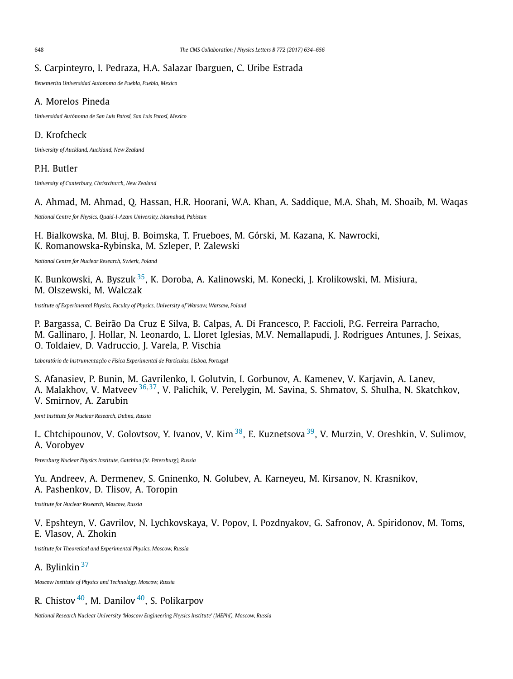## S. Carpinteyro, I. Pedraza, H.A. Salazar Ibarguen, C. Uribe Estrada

*Benemerita Universidad Autonoma de Puebla, Puebla, Mexico*

### A. Morelos Pineda

*Universidad Autónoma de San Luis Potosí, San Luis Potosí, Mexico*

## D. Krofcheck

*University of Auckland, Auckland, New Zealand*

### P.H. Butler

*University of Canterbury, Christchurch, New Zealand*

A. Ahmad, M. Ahmad, Q. Hassan, H.R. Hoorani, W.A. Khan, A. Saddique, M.A. Shah, M. Shoaib, M. Waqas

*National Centre for Physics, Quaid-I-Azam University, Islamabad, Pakistan*

H. Bialkowska, M. Bluj, B. Boimska, T. Frueboes, M. Górski, M. Kazana, K. Nawrocki, K. Romanowska-Rybinska, M. Szleper, P. Zalewski

*National Centre for Nuclear Research, Swierk, Poland*

K. Bunkowski, A. Byszuk<sup>[35](#page-21-0)</sup>, K. Doroba, A. Kalinowski, M. Konecki, J. Krolikowski, M. Misiura, M. Olszewski, M. Walczak

*Institute of Experimental Physics, Faculty of Physics, University of Warsaw, Warsaw, Poland*

P. Bargassa, C. Beirão Da Cruz E Silva, B. Calpas, A. Di Francesco, P. Faccioli, P.G. Ferreira Parracho, M. Gallinaro, J. Hollar, N. Leonardo, L. Lloret Iglesias, M.V. Nemallapudi, J. Rodrigues Antunes, J. Seixas, O. Toldaiev, D. Vadruccio, J. Varela, P. Vischia

*Laboratório de Instrumentação e Física Experimental de Partículas, Lisboa, Portugal*

S. Afanasiev, P. Bunin, M. Gavrilenko, I. Golutvin, I. Gorbunov, A. Kamenev, V. Karjavin, A. Lanev, A. Malakhov, V. Matveev [36](#page-21-0)*,*[37,](#page-21-0) V. Palichik, V. Perelygin, M. Savina, S. Shmatov, S. Shulha, N. Skatchkov, V. Smirnov, A. Zarubin

*Joint Institute for Nuclear Research, Dubna, Russia*

L. Chtchipounov, V. Golovtsov, Y. Ivanov, V. Kim<sup>38</sup>, E. Kuznetsova<sup>39</sup>, V. Murzin, V. Oreshkin, V. Sulimov, A. Vorobyev

*Petersburg Nuclear Physics Institute, Gatchina (St. Petersburg), Russia*

Yu. Andreev, A. Dermenev, S. Gninenko, N. Golubev, A. Karneyeu, M. Kirsanov, N. Krasnikov, A. Pashenkov, D. Tlisov, A. Toropin

*Institute for Nuclear Research, Moscow, Russia*

V. Epshteyn, V. Gavrilov, N. Lychkovskaya, V. Popov, I. Pozdnyakov, G. Safronov, A. Spiridonov, M. Toms, E. Vlasov, A. Zhokin

*Institute for Theoretical and Experimental Physics, Moscow, Russia*

## A. Bylinkin<sup>[37](#page-21-0)</sup>

*Moscow Institute of Physics and Technology, Moscow, Russia*

R. Chistov<sup>40</sup>, M. Danilov<sup>40</sup>, S. Polikarpov

*National Research Nuclear University 'Moscow Engineering Physics Institute' (MEPhI), Moscow, Russia*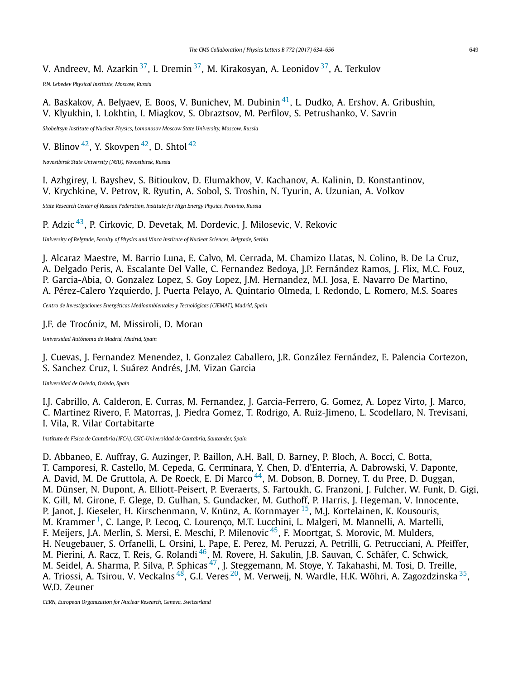## V. Andreev, M. Azarkin  $37$ , I. Dremin  $37$ , M. Kirakosyan, A. Leonidov  $37$ , A. Terkulov

*P.N. Lebedev Physical Institute, Moscow, Russia*

A. Baskakov, A. Belyaev, E. Boos, V. Bunichev, M. Dubinin [41,](#page-21-0) L. Dudko, A. Ershov, A. Gribushin, V. Klyukhin, I. Lokhtin, I. Miagkov, S. Obraztsov, M. Perfilov, S. Petrushanko, V. Savrin

*Skobeltsyn Institute of Nuclear Physics, Lomonosov Moscow State University, Moscow, Russia*

V. Blinov  $42$ , Y. Skovpen  $42$ , D. Shtol  $42$ 

*Novosibirsk State University (NSU), Novosibirsk, Russia*

I. Azhgirey, I. Bayshev, S. Bitioukov, D. Elumakhov, V. Kachanov, A. Kalinin, D. Konstantinov, V. Krychkine, V. Petrov, R. Ryutin, A. Sobol, S. Troshin, N. Tyurin, A. Uzunian, A. Volkov

*State Research Center of Russian Federation, Institute for High Energy Physics, Protvino, Russia*

P. Adzic<sup>43</sup>, P. Cirkovic, D. Devetak, M. Dordevic, J. Milosevic, V. Rekovic

*University of Belgrade, Faculty of Physics and Vinca Institute of Nuclear Sciences, Belgrade, Serbia*

J. Alcaraz Maestre, M. Barrio Luna, E. Calvo, M. Cerrada, M. Chamizo Llatas, N. Colino, B. De La Cruz, A. Delgado Peris, A. Escalante Del Valle, C. Fernandez Bedoya, J.P. Fernández Ramos, J. Flix, M.C. Fouz, P. Garcia-Abia, O. Gonzalez Lopez, S. Goy Lopez, J.M. Hernandez, M.I. Josa, E. Navarro De Martino, A. Pérez-Calero Yzquierdo, J. Puerta Pelayo, A. Quintario Olmeda, I. Redondo, L. Romero, M.S. Soares

*Centro de Investigaciones Energéticas Medioambientales y Tecnológicas (CIEMAT), Madrid, Spain*

#### J.F. de Trocóniz, M. Missiroli, D. Moran

*Universidad Autónoma de Madrid, Madrid, Spain*

J. Cuevas, J. Fernandez Menendez, I. Gonzalez Caballero, J.R. González Fernández, E. Palencia Cortezon, S. Sanchez Cruz, I. Suárez Andrés, J.M. Vizan Garcia

*Universidad de Oviedo, Oviedo, Spain*

I.J. Cabrillo, A. Calderon, E. Curras, M. Fernandez, J. Garcia-Ferrero, G. Gomez, A. Lopez Virto, J. Marco, C. Martinez Rivero, F. Matorras, J. Piedra Gomez, T. Rodrigo, A. Ruiz-Jimeno, L. Scodellaro, N. Trevisani, I. Vila, R. Vilar Cortabitarte

*Instituto de Física de Cantabria (IFCA), CSIC-Universidad de Cantabria, Santander, Spain*

D. Abbaneo, E. Auffray, G. Auzinger, P. Baillon, A.H. Ball, D. Barney, P. Bloch, A. Bocci, C. Botta, T. Camporesi, R. Castello, M. Cepeda, G. Cerminara, Y. Chen, D. d'Enterria, A. Dabrowski, V. Daponte, A. David, M. De Gruttola, A. De Roeck, E. Di Marco<sup>44</sup>, M. Dobson, B. Dorney, T. du Pree, D. Duggan, M. Dünser, N. Dupont, A. Elliott-Peisert, P. Everaerts, S. Fartoukh, G. Franzoni, J. Fulcher, W. Funk, D. Gigi, K. Gill, M. Girone, F. Glege, D. Gulhan, S. Gundacker, M. Guthoff, P. Harris, J. Hegeman, V. Innocente, P. Janot, J. Kieseler, H. Kirschenmann, V. Knünz, A. Kornmayer<sup>15</sup>, M.J. Kortelainen, K. Kousouris, M. Krammer<sup>1</sup>, C. Lange, P. Lecoq, C. Lourenço, M.T. Lucchini, L. Malgeri, M. Mannelli, A. Martelli, F. Meijers, J.A. Merlin, S. Mersi, E. Meschi, P. Milenovic [45,](#page-22-0) F. Moortgat, S. Morovic, M. Mulders, H. Neugebauer, S. Orfanelli, L. Orsini, L. Pape, E. Perez, M. Peruzzi, A. Petrilli, G. Petrucciani, A. Pfeiffer, M. Pierini, A. Racz, T. Reis, G. Rolandi<sup>46</sup>, M. Rovere, H. Sakulin, J.B. Sauvan, C. Schäfer, C. Schwick, M. Seidel, A. Sharma, P. Silva, P. Sphicas [47,](#page-22-0) J. Steggemann, M. Stoye, Y. Takahashi, M. Tosi, D. Treille, A. Triossi, A. Tsirou, V. Veckalns<sup>48</sup>, G.I. Veres <sup>20</sup>, M. Verweij, N. Wardle, H.K. Wöhri, A. Zagozdzinska <sup>35</sup>, W.D. Zeuner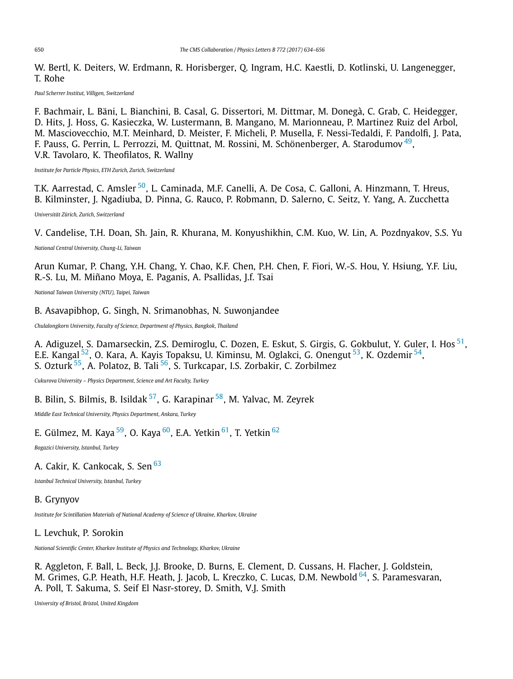W. Bertl, K. Deiters, W. Erdmann, R. Horisberger, Q. Ingram, H.C. Kaestli, D. Kotlinski, U. Langenegger, T. Rohe

*Paul Scherrer Institut, Villigen, Switzerland*

F. Bachmair, L. Bäni, L. Bianchini, B. Casal, G. Dissertori, M. Dittmar, M. Donegà, C. Grab, C. Heidegger, D. Hits, J. Hoss, G. Kasieczka, W. Lustermann, B. Mangano, M. Marionneau, P. Martinez Ruiz del Arbol, M. Masciovecchio, M.T. Meinhard, D. Meister, F. Micheli, P. Musella, F. Nessi-Tedaldi, F. Pandolfi, J. Pata, F. Pauss, G. Perrin, L. Perrozzi, M. Quittnat, M. Rossini, M. Schönenberger, A. Starodumov [49,](#page-22-0) V.R. Tavolaro, K. Theofilatos, R. Wallny

*Institute for Particle Physics, ETH Zurich, Zurich, Switzerland*

T.K. Aarrestad, C. Amsler <sup>50</sup>, L. Caminada, M.F. Canelli, A. De Cosa, C. Galloni, A. Hinzmann, T. Hreus, B. Kilminster, J. Ngadiuba, D. Pinna, G. Rauco, P. Robmann, D. Salerno, C. Seitz, Y. Yang, A. Zucchetta

*Universität Zürich, Zurich, Switzerland*

V. Candelise, T.H. Doan, Sh. Jain, R. Khurana, M. Konyushikhin, C.M. Kuo, W. Lin, A. Pozdnyakov, S.S. Yu

*National Central University, Chung-Li, Taiwan*

Arun Kumar, P. Chang, Y.H. Chang, Y. Chao, K.F. Chen, P.H. Chen, F. Fiori, W.-S. Hou, Y. Hsiung, Y.F. Liu, R.-S. Lu, M. Miñano Moya, E. Paganis, A. Psallidas, J.f. Tsai

*National Taiwan University (NTU), Taipei, Taiwan*

### B. Asavapibhop, G. Singh, N. Srimanobhas, N. Suwonjandee

*Chulalongkorn University, Faculty of Science, Department of Physics, Bangkok, Thailand*

A. Adiguzel, S. Damarseckin, Z.S. Demiroglu, C. Dozen, E. Eskut, S. Girgis, G. Gokbulut, Y. Guler, I. Hos <sup>51</sup>, E.E. Kangal [52,](#page-22-0) O. Kara, A. Kayis Topaksu, U. Kiminsu, M. Oglakci, G. Onengut [53,](#page-22-0) K. Ozdemir [54,](#page-22-0) S. Ozturk [55,](#page-22-0) A. Polatoz, B. Tali [56,](#page-22-0) S. Turkcapar, I.S. Zorbakir, C. Zorbilmez

*Cukurova University – Physics Department, Science and Art Faculty, Turkey*

B. Bilin, S. Bilmis, B. Isildak  $57$ , G. Karapinar  $58$ , M. Yalvac, M. Zeyrek

*Middle East Technical University, Physics Department, Ankara, Turkey*

E. Gülmez, M. Kaya  $^{59}$  $^{59}$  $^{59}$ , O. Kaya  $^{60}$ , E.A. Yetkin  $^{61}$ , T. Yetkin  $^{62}$  $^{62}$  $^{62}$ 

*Bogazici University, Istanbul, Turkey*

## A. Cakir, K. Cankocak, S. Sen <sup>[63](#page-22-0)</sup>

*Istanbul Technical University, Istanbul, Turkey*

## B. Grynyov

*Institute for Scintillation Materials of National Academy of Science of Ukraine, Kharkov, Ukraine*

## L. Levchuk, P. Sorokin

*National Scientific Center, Kharkov Institute of Physics and Technology, Kharkov, Ukraine*

R. Aggleton, F. Ball, L. Beck, J.J. Brooke, D. Burns, E. Clement, D. Cussans, H. Flacher, J. Goldstein, M. Grimes, G.P. Heath, H.F. Heath, J. Jacob, L. Kreczko, C. Lucas, D.M. Newbold <sup>64</sup>, S. Paramesvaran, A. Poll, T. Sakuma, S. Seif El Nasr-storey, D. Smith, V.J. Smith

*University of Bristol, Bristol, United Kingdom*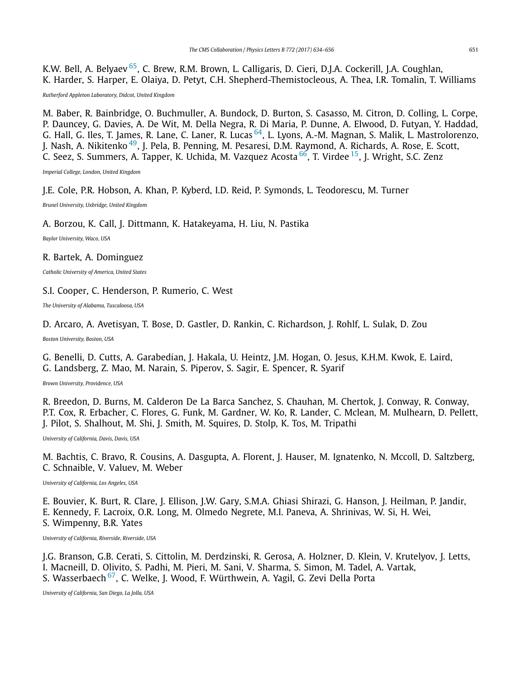K.W. Bell, A. Belyaev <sup>65</sup>, C. Brew, R.M. Brown, L. Calligaris, D. Cieri, D.J.A. Cockerill, J.A. Coughlan, K. Harder, S. Harper, E. Olaiya, D. Petyt, C.H. Shepherd-Themistocleous, A. Thea, I.R. Tomalin, T. Williams

*Rutherford Appleton Laboratory, Didcot, United Kingdom*

M. Baber, R. Bainbridge, O. Buchmuller, A. Bundock, D. Burton, S. Casasso, M. Citron, D. Colling, L. Corpe, P. Dauncey, G. Davies, A. De Wit, M. Della Negra, R. Di Maria, P. Dunne, A. Elwood, D. Futyan, Y. Haddad, G. Hall, G. Iles, T. James, R. Lane, C. Laner, R. Lucas <sup>64</sup>, L. Lyons, A.-M. Magnan, S. Malik, L. Mastrolorenzo, J. Nash, A. Nikitenko [49,](#page-22-0) J. Pela, B. Penning, M. Pesaresi, D.M. Raymond, A. Richards, A. Rose, E. Scott, C. Seez, S. Summers, A. Tapper, K. Uchida, M. Vazquez Acosta <sup>66</sup>, T. Virdee <sup>15</sup>, J. Wright, S.C. Zenz

*Imperial College, London, United Kingdom*

J.E. Cole, P.R. Hobson, A. Khan, P. Kyberd, I.D. Reid, P. Symonds, L. Teodorescu, M. Turner

*Brunel University, Uxbridge, United Kingdom*

A. Borzou, K. Call, J. Dittmann, K. Hatakeyama, H. Liu, N. Pastika

*Baylor University, Waco, USA*

#### R. Bartek, A. Dominguez

*Catholic University of America, United States*

S.I. Cooper, C. Henderson, P. Rumerio, C. West

*The University of Alabama, Tuscaloosa, USA*

D. Arcaro, A. Avetisyan, T. Bose, D. Gastler, D. Rankin, C. Richardson, J. Rohlf, L. Sulak, D. Zou

*Boston University, Boston, USA*

G. Benelli, D. Cutts, A. Garabedian, J. Hakala, U. Heintz, J.M. Hogan, O. Jesus, K.H.M. Kwok, E. Laird, G. Landsberg, Z. Mao, M. Narain, S. Piperov, S. Sagir, E. Spencer, R. Syarif

*Brown University, Providence, USA*

R. Breedon, D. Burns, M. Calderon De La Barca Sanchez, S. Chauhan, M. Chertok, J. Conway, R. Conway, P.T. Cox, R. Erbacher, C. Flores, G. Funk, M. Gardner, W. Ko, R. Lander, C. Mclean, M. Mulhearn, D. Pellett, J. Pilot, S. Shalhout, M. Shi, J. Smith, M. Squires, D. Stolp, K. Tos, M. Tripathi

*University of California, Davis, Davis, USA*

M. Bachtis, C. Bravo, R. Cousins, A. Dasgupta, A. Florent, J. Hauser, M. Ignatenko, N. Mccoll, D. Saltzberg, C. Schnaible, V. Valuev, M. Weber

*University of California, Los Angeles, USA*

E. Bouvier, K. Burt, R. Clare, J. Ellison, J.W. Gary, S.M.A. Ghiasi Shirazi, G. Hanson, J. Heilman, P. Jandir, E. Kennedy, F. Lacroix, O.R. Long, M. Olmedo Negrete, M.I. Paneva, A. Shrinivas, W. Si, H. Wei, S. Wimpenny, B.R. Yates

*University of California, Riverside, Riverside, USA*

J.G. Branson, G.B. Cerati, S. Cittolin, M. Derdzinski, R. Gerosa, A. Holzner, D. Klein, V. Krutelyov, J. Letts, I. Macneill, D. Olivito, S. Padhi, M. Pieri, M. Sani, V. Sharma, S. Simon, M. Tadel, A. Vartak, S. Wasserbaech [67,](#page-22-0) C. Welke, J. Wood, F. Würthwein, A. Yagil, G. Zevi Della Porta

*University of California, San Diego, La Jolla, USA*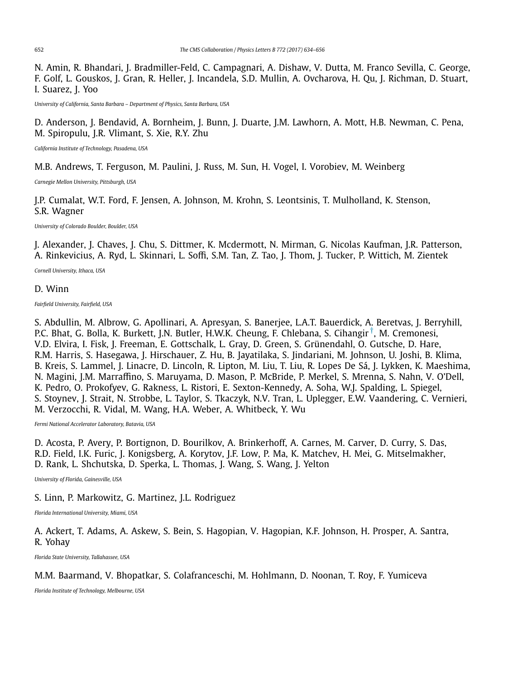N. Amin, R. Bhandari, J. Bradmiller-Feld, C. Campagnari, A. Dishaw, V. Dutta, M. Franco Sevilla, C. George, F. Golf, L. Gouskos, J. Gran, R. Heller, J. Incandela, S.D. Mullin, A. Ovcharova, H. Qu, J. Richman, D. Stuart, I. Suarez, J. Yoo

*University of California, Santa Barbara – Department of Physics, Santa Barbara, USA*

D. Anderson, J. Bendavid, A. Bornheim, J. Bunn, J. Duarte, J.M. Lawhorn, A. Mott, H.B. Newman, C. Pena, M. Spiropulu, J.R. Vlimant, S. Xie, R.Y. Zhu

*California Institute of Technology, Pasadena, USA*

M.B. Andrews, T. Ferguson, M. Paulini, J. Russ, M. Sun, H. Vogel, I. Vorobiev, M. Weinberg

*Carnegie Mellon University, Pittsburgh, USA*

J.P. Cumalat, W.T. Ford, F. Jensen, A. Johnson, M. Krohn, S. Leontsinis, T. Mulholland, K. Stenson, S.R. Wagner

*University of Colorado Boulder, Boulder, USA*

J. Alexander, J. Chaves, J. Chu, S. Dittmer, K. Mcdermott, N. Mirman, G. Nicolas Kaufman, J.R. Patterson, A. Rinkevicius, A. Ryd, L. Skinnari, L. Soffi, S.M. Tan, Z. Tao, J. Thom, J. Tucker, P. Wittich, M. Zientek

*Cornell University, Ithaca, USA*

D. Winn

*Fairfield University, Fairfield, USA*

S. Abdullin, M. Albrow, G. Apollinari, A. Apresyan, S. Banerjee, L.A.T. Bauerdick, A. Beretvas, J. Berryhill, P.C. Bhat, G. Bolla, K. Burkett, J.N. Butler, H.W.K. Cheung, F. Chlebana, S. Cihangir [†,](#page-21-0) M. Cremonesi, V.D. Elvira, I. Fisk, J. Freeman, E. Gottschalk, L. Gray, D. Green, S. Grünendahl, O. Gutsche, D. Hare, R.M. Harris, S. Hasegawa, J. Hirschauer, Z. Hu, B. Jayatilaka, S. Jindariani, M. Johnson, U. Joshi, B. Klima, B. Kreis, S. Lammel, J. Linacre, D. Lincoln, R. Lipton, M. Liu, T. Liu, R. Lopes De Sá, J. Lykken, K. Maeshima, N. Magini, J.M. Marraffino, S. Maruyama, D. Mason, P. McBride, P. Merkel, S. Mrenna, S. Nahn, V. O'Dell, K. Pedro, O. Prokofyev, G. Rakness, L. Ristori, E. Sexton-Kennedy, A. Soha, W.J. Spalding, L. Spiegel, S. Stoynev, J. Strait, N. Strobbe, L. Taylor, S. Tkaczyk, N.V. Tran, L. Uplegger, E.W. Vaandering, C. Vernieri, M. Verzocchi, R. Vidal, M. Wang, H.A. Weber, A. Whitbeck, Y. Wu

*Fermi National Accelerator Laboratory, Batavia, USA*

D. Acosta, P. Avery, P. Bortignon, D. Bourilkov, A. Brinkerhoff, A. Carnes, M. Carver, D. Curry, S. Das, R.D. Field, I.K. Furic, J. Konigsberg, A. Korytov, J.F. Low, P. Ma, K. Matchev, H. Mei, G. Mitselmakher, D. Rank, L. Shchutska, D. Sperka, L. Thomas, J. Wang, S. Wang, J. Yelton

*University of Florida, Gainesville, USA*

S. Linn, P. Markowitz, G. Martinez, J.L. Rodriguez

*Florida International University, Miami, USA*

A. Ackert, T. Adams, A. Askew, S. Bein, S. Hagopian, V. Hagopian, K.F. Johnson, H. Prosper, A. Santra, R. Yohay

*Florida State University, Tallahassee, USA*

M.M. Baarmand, V. Bhopatkar, S. Colafranceschi, M. Hohlmann, D. Noonan, T. Roy, F. Yumiceva

*Florida Institute of Technology, Melbourne, USA*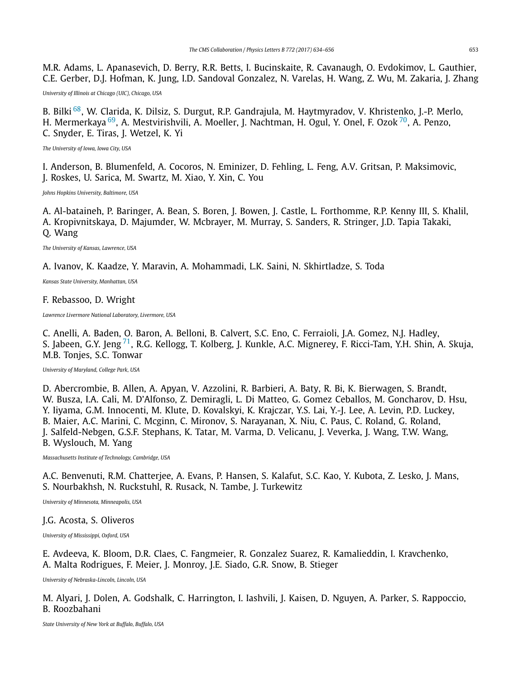M.R. Adams, L. Apanasevich, D. Berry, R.R. Betts, I. Bucinskaite, R. Cavanaugh, O. Evdokimov, L. Gauthier, C.E. Gerber, D.J. Hofman, K. Jung, I.D. Sandoval Gonzalez, N. Varelas, H. Wang, Z. Wu, M. Zakaria, J. Zhang

*University of Illinois at Chicago (UIC), Chicago, USA*

B. Bilki <sup>68</sup>, W. Clarida, K. Dilsiz, S. Durgut, R.P. Gandrajula, M. Haytmyradov, V. Khristenko, J.-P. Merlo, H. Mermerkaya [69,](#page-22-0) A. Mestvirishvili, A. Moeller, J. Nachtman, H. Ogul, Y. Onel, F. Ozok [70,](#page-22-0) A. Penzo, C. Snyder, E. Tiras, J. Wetzel, K. Yi

*The University of Iowa, Iowa City, USA*

I. Anderson, B. Blumenfeld, A. Cocoros, N. Eminizer, D. Fehling, L. Feng, A.V. Gritsan, P. Maksimovic, J. Roskes, U. Sarica, M. Swartz, M. Xiao, Y. Xin, C. You

*Johns Hopkins University, Baltimore, USA*

A. Al-bataineh, P. Baringer, A. Bean, S. Boren, J. Bowen, J. Castle, L. Forthomme, R.P. Kenny III, S. Khalil, A. Kropivnitskaya, D. Majumder, W. Mcbrayer, M. Murray, S. Sanders, R. Stringer, J.D. Tapia Takaki, Q. Wang

*The University of Kansas, Lawrence, USA*

A. Ivanov, K. Kaadze, Y. Maravin, A. Mohammadi, L.K. Saini, N. Skhirtladze, S. Toda

*Kansas State University, Manhattan, USA*

F. Rebassoo, D. Wright

*Lawrence Livermore National Laboratory, Livermore, USA*

C. Anelli, A. Baden, O. Baron, A. Belloni, B. Calvert, S.C. Eno, C. Ferraioli, J.A. Gomez, N.J. Hadley, S. Jabeen, G.Y. Jeng [71,](#page-22-0) R.G. Kellogg, T. Kolberg, J. Kunkle, A.C. Mignerey, F. Ricci-Tam, Y.H. Shin, A. Skuja, M.B. Tonjes, S.C. Tonwar

*University of Maryland, College Park, USA*

D. Abercrombie, B. Allen, A. Apyan, V. Azzolini, R. Barbieri, A. Baty, R. Bi, K. Bierwagen, S. Brandt, W. Busza, I.A. Cali, M. D'Alfonso, Z. Demiragli, L. Di Matteo, G. Gomez Ceballos, M. Goncharov, D. Hsu, Y. Iiyama, G.M. Innocenti, M. Klute, D. Kovalskyi, K. Krajczar, Y.S. Lai, Y.-J. Lee, A. Levin, P.D. Luckey, B. Maier, A.C. Marini, C. Mcginn, C. Mironov, S. Narayanan, X. Niu, C. Paus, C. Roland, G. Roland, J. Salfeld-Nebgen, G.S.F. Stephans, K. Tatar, M. Varma, D. Velicanu, J. Veverka, J. Wang, T.W. Wang, B. Wyslouch, M. Yang

*Massachusetts Institute of Technology, Cambridge, USA*

A.C. Benvenuti, R.M. Chatterjee, A. Evans, P. Hansen, S. Kalafut, S.C. Kao, Y. Kubota, Z. Lesko, J. Mans, S. Nourbakhsh, N. Ruckstuhl, R. Rusack, N. Tambe, J. Turkewitz

*University of Minnesota, Minneapolis, USA*

#### J.G. Acosta, S. Oliveros

*University of Mississippi, Oxford, USA*

E. Avdeeva, K. Bloom, D.R. Claes, C. Fangmeier, R. Gonzalez Suarez, R. Kamalieddin, I. Kravchenko, A. Malta Rodrigues, F. Meier, J. Monroy, J.E. Siado, G.R. Snow, B. Stieger

*University of Nebraska-Lincoln, Lincoln, USA*

M. Alyari, J. Dolen, A. Godshalk, C. Harrington, I. Iashvili, J. Kaisen, D. Nguyen, A. Parker, S. Rappoccio, B. Roozbahani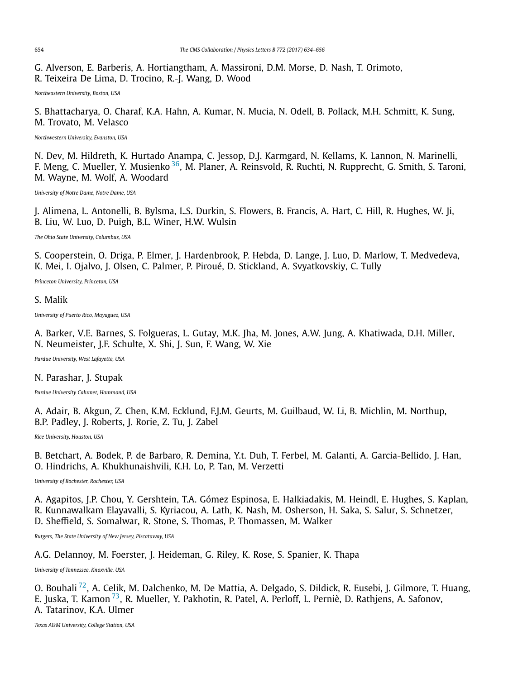G. Alverson, E. Barberis, A. Hortiangtham, A. Massironi, D.M. Morse, D. Nash, T. Orimoto, R. Teixeira De Lima, D. Trocino, R.-J. Wang, D. Wood

*Northeastern University, Boston, USA*

S. Bhattacharya, O. Charaf, K.A. Hahn, A. Kumar, N. Mucia, N. Odell, B. Pollack, M.H. Schmitt, K. Sung, M. Trovato, M. Velasco

*Northwestern University, Evanston, USA*

N. Dev, M. Hildreth, K. Hurtado Anampa, C. Jessop, D.J. Karmgard, N. Kellams, K. Lannon, N. Marinelli, F. Meng, C. Mueller, Y. Musienko [36,](#page-21-0) M. Planer, A. Reinsvold, R. Ruchti, N. Rupprecht, G. Smith, S. Taroni, M. Wayne, M. Wolf, A. Woodard

*University of Notre Dame, Notre Dame, USA*

J. Alimena, L. Antonelli, B. Bylsma, L.S. Durkin, S. Flowers, B. Francis, A. Hart, C. Hill, R. Hughes, W. Ji, B. Liu, W. Luo, D. Puigh, B.L. Winer, H.W. Wulsin

*The Ohio State University, Columbus, USA*

S. Cooperstein, O. Driga, P. Elmer, J. Hardenbrook, P. Hebda, D. Lange, J. Luo, D. Marlow, T. Medvedeva, K. Mei, I. Ojalvo, J. Olsen, C. Palmer, P. Piroué, D. Stickland, A. Svyatkovskiy, C. Tully

*Princeton University, Princeton, USA*

### S. Malik

*University of Puerto Rico, Mayaguez, USA*

A. Barker, V.E. Barnes, S. Folgueras, L. Gutay, M.K. Jha, M. Jones, A.W. Jung, A. Khatiwada, D.H. Miller, N. Neumeister, J.F. Schulte, X. Shi, J. Sun, F. Wang, W. Xie

*Purdue University, West Lafayette, USA*

N. Parashar, J. Stupak

*Purdue University Calumet, Hammond, USA*

A. Adair, B. Akgun, Z. Chen, K.M. Ecklund, F.J.M. Geurts, M. Guilbaud, W. Li, B. Michlin, M. Northup, B.P. Padley, J. Roberts, J. Rorie, Z. Tu, J. Zabel

*Rice University, Houston, USA*

B. Betchart, A. Bodek, P. de Barbaro, R. Demina, Y.t. Duh, T. Ferbel, M. Galanti, A. Garcia-Bellido, J. Han, O. Hindrichs, A. Khukhunaishvili, K.H. Lo, P. Tan, M. Verzetti

*University of Rochester, Rochester, USA*

A. Agapitos, J.P. Chou, Y. Gershtein, T.A. Gómez Espinosa, E. Halkiadakis, M. Heindl, E. Hughes, S. Kaplan, R. Kunnawalkam Elayavalli, S. Kyriacou, A. Lath, K. Nash, M. Osherson, H. Saka, S. Salur, S. Schnetzer, D. Sheffield, S. Somalwar, R. Stone, S. Thomas, P. Thomassen, M. Walker

*Rutgers, The State University of New Jersey, Piscataway, USA*

A.G. Delannoy, M. Foerster, J. Heideman, G. Riley, K. Rose, S. Spanier, K. Thapa

*University of Tennessee, Knoxville, USA*

O. Bouhali [72,](#page-22-0) A. Celik, M. Dalchenko, M. De Mattia, A. Delgado, S. Dildick, R. Eusebi, J. Gilmore, T. Huang, E. Juska, T. Kamon [73,](#page-22-0) R. Mueller, Y. Pakhotin, R. Patel, A. Perloff, L. Perniè, D. Rathjens, A. Safonov, A. Tatarinov, K.A. Ulmer

*Texas A&M University, College Station, USA*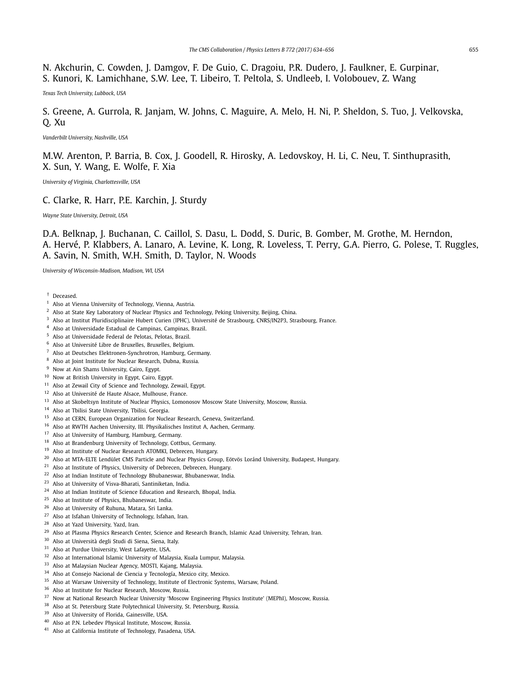<span id="page-21-0"></span>N. Akchurin, C. Cowden, J. Damgov, F. De Guio, C. Dragoiu, P.R. Dudero, J. Faulkner, E. Gurpinar, S. Kunori, K. Lamichhane, S.W. Lee, T. Libeiro, T. Peltola, S. Undleeb, I. Volobouev, Z. Wang

*Texas Tech University, Lubbock, USA*

S. Greene, A. Gurrola, R. Janjam, W. Johns, C. Maguire, A. Melo, H. Ni, P. Sheldon, S. Tuo, J. Velkovska, Q. Xu

*Vanderbilt University, Nashville, USA*

M.W. Arenton, P. Barria, B. Cox, J. Goodell, R. Hirosky, A. Ledovskoy, H. Li, C. Neu, T. Sinthuprasith, X. Sun, Y. Wang, E. Wolfe, F. Xia

*University of Virginia, Charlottesville, USA*

#### C. Clarke, R. Harr, P.E. Karchin, J. Sturdy

*Wayne State University, Detroit, USA*

D.A. Belknap, J. Buchanan, C. Caillol, S. Dasu, L. Dodd, S. Duric, B. Gomber, M. Grothe, M. Herndon, A. Hervé, P. Klabbers, A. Lanaro, A. Levine, K. Long, R. Loveless, T. Perry, G.A. Pierro, G. Polese, T. Ruggles, A. Savin, N. Smith, W.H. Smith, D. Taylor, N. Woods

*University of Wisconsin-Madison, Madison, WI, USA*

- † Deceased.
- <sup>1</sup> Also at Vienna University of Technology, Vienna, Austria.
- <sup>2</sup> Also at State Key Laboratory of Nuclear Physics and Technology, Peking University, Beijing, China.
- <sup>3</sup> Also at Institut Pluridisciplinaire Hubert Curien (IPHC), Université de Strasbourg, CNRS/IN2P3, Strasbourg, France.
- Also at Universidade Estadual de Campinas, Campinas, Brazil.
- Also at Universidade Federal de Pelotas, Pelotas, Brazil.
- Also at Université Libre de Bruxelles, Bruxelles, Belgium.
- Also at Deutsches Elektronen-Synchrotron, Hamburg, Germany.
- Also at Joint Institute for Nuclear Research, Dubna, Russia.
- Now at Ain Shams University, Cairo, Egypt.
- Now at British University in Egypt, Cairo, Egypt.
- Also at Zewail City of Science and Technology, Zewail, Egypt.
- Also at Université de Haute Alsace, Mulhouse, France.
- Also at Skobeltsyn Institute of Nuclear Physics, Lomonosov Moscow State University, Moscow, Russia.
- Also at Tbilisi State University, Tbilisi, Georgia.
- Also at CERN, European Organization for Nuclear Research, Geneva, Switzerland.
- Also at RWTH Aachen University, III. Physikalisches Institut A, Aachen, Germany.
- Also at University of Hamburg, Hamburg, Germany.
- Also at Brandenburg University of Technology, Cottbus, Germany.
- Also at Institute of Nuclear Research ATOMKI, Debrecen, Hungary.
- Also at MTA-ELTE Lendület CMS Particle and Nuclear Physics Group, Eötvös Loránd University, Budapest, Hungary.
- Also at Institute of Physics, University of Debrecen, Debrecen, Hungary.
- Also at Indian Institute of Technology Bhubaneswar, Bhubaneswar, India.
- Also at University of Visva-Bharati, Santiniketan, India.
- Also at Indian Institute of Science Education and Research, Bhopal, India.
- Also at Institute of Physics, Bhubaneswar, India.
- Also at University of Ruhuna, Matara, Sri Lanka.
- Also at Isfahan University of Technology, Isfahan, Iran.
- Also at Yazd University, Yazd, Iran.
- <sup>29</sup> Also at Plasma Physics Research Center, Science and Research Branch, Islamic Azad University, Tehran, Iran.
- Also at Università degli Studi di Siena, Siena, Italy.
- Also at Purdue University, West Lafayette, USA.
- Also at International Islamic University of Malaysia, Kuala Lumpur, Malaysia.
- Also at Malaysian Nuclear Agency, MOSTI, Kajang, Malaysia.
- Also at Consejo Nacional de Ciencia y Tecnología, Mexico city, Mexico.
- Also at Warsaw University of Technology, Institute of Electronic Systems, Warsaw, Poland.
- Also at Institute for Nuclear Research, Moscow, Russia.
- Now at National Research Nuclear University 'Moscow Engineering Physics Institute' (MEPhI), Moscow, Russia.
- Also at St. Petersburg State Polytechnical University, St. Petersburg, Russia.
- Also at University of Florida, Gainesville, USA.
- Also at P.N. Lebedev Physical Institute, Moscow, Russia.
- Also at California Institute of Technology, Pasadena, USA.